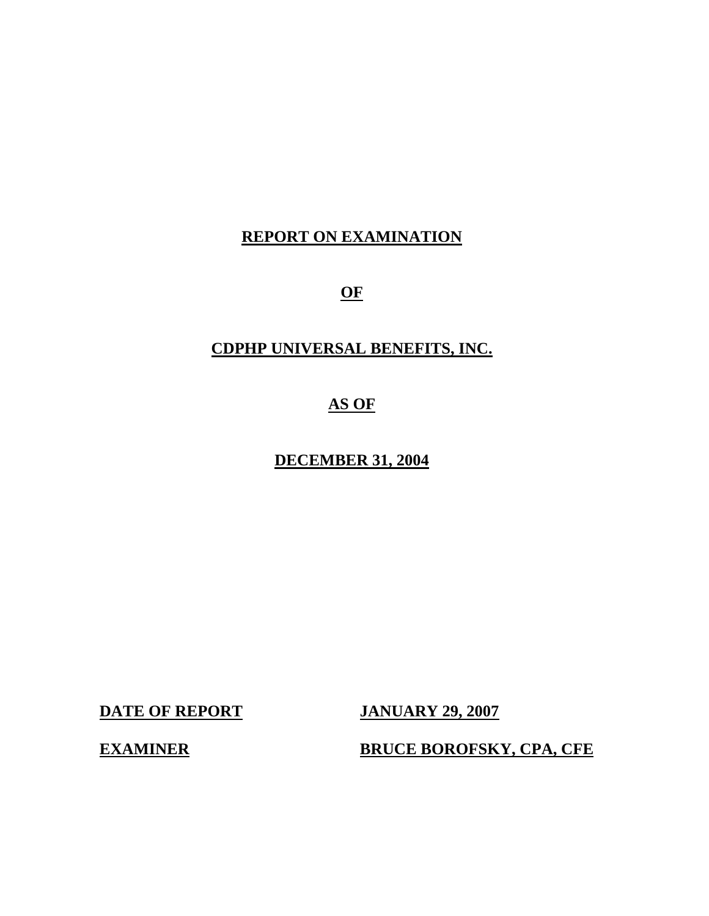## **REPORT ON EXAMINATION**

**OF** 

## **CDPHP UNIVERSAL BENEFITS, INC.**

## **AS OF**

**DECEMBER 31, 2004** 

**DATE OF REPORT JANUARY 29, 2007** 

**EXAMINER BRUCE BOROFSKY, CPA, CFE**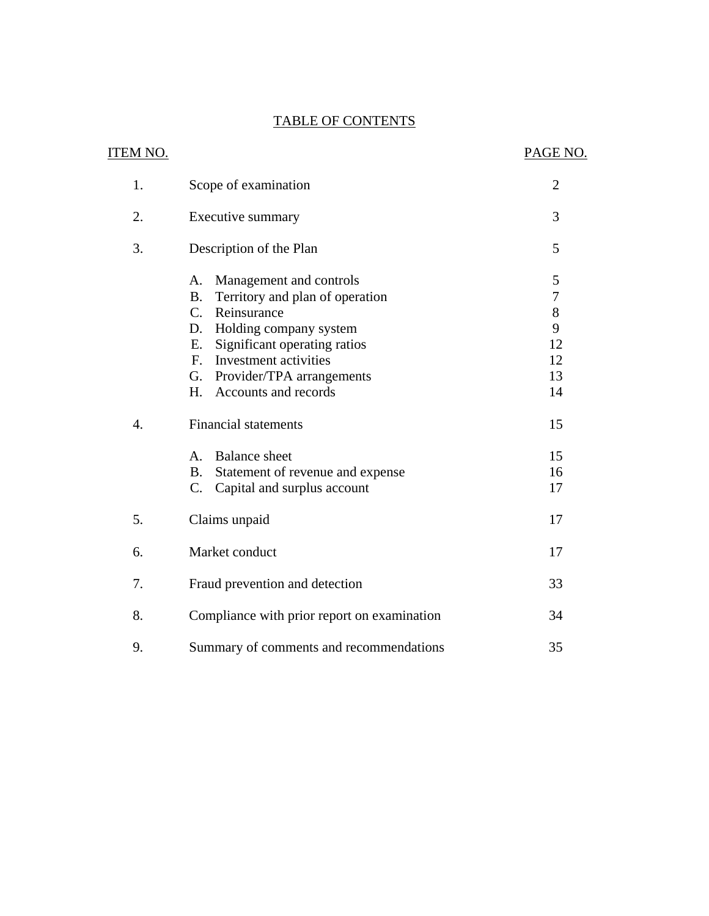## **TABLE OF CONTENTS**

| <u>ITEM NO.</u>  |                                                                           | PAGE NO.       |
|------------------|---------------------------------------------------------------------------|----------------|
|                  |                                                                           |                |
| 1.               | Scope of examination                                                      | $\overline{2}$ |
| 2.               | Executive summary                                                         | 3              |
| 3.               | Description of the Plan                                                   | 5              |
|                  | Management and controls<br>A.                                             | 5              |
|                  | <b>B.</b><br>Territory and plan of operation                              | $\overline{7}$ |
|                  | $C_{\cdot}$<br>Reinsurance                                                | 8              |
|                  | Holding company system<br>D.                                              | 9              |
|                  | Significant operating ratios<br>Е.                                        | 12             |
|                  | Investment activities<br>$F_{\cdot}$                                      | 12             |
|                  | Provider/TPA arrangements<br>G.<br>H <sub>r</sub><br>Accounts and records | 13<br>14       |
|                  |                                                                           |                |
| $\overline{4}$ . | <b>Financial statements</b>                                               | 15             |
|                  | <b>Balance</b> sheet<br>A.                                                | 15             |
|                  | <b>B.</b><br>Statement of revenue and expense                             | 16             |
|                  | $C_{\cdot}$<br>Capital and surplus account                                | 17             |
| 5.               | Claims unpaid                                                             | 17             |
| 6.               | Market conduct                                                            | 17             |
| 7.               | Fraud prevention and detection                                            | 33             |
| 8.               | Compliance with prior report on examination                               | 34             |
| 9.               | Summary of comments and recommendations                                   | 35             |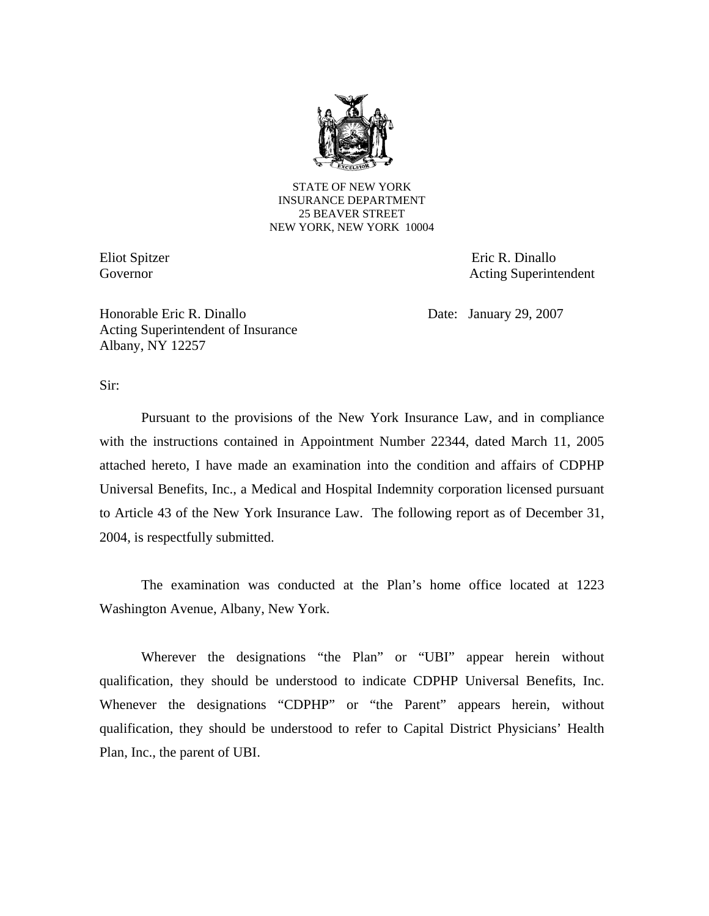

STATE OF NEW YORK INSURANCE DEPARTMENT 25 BEAVER STREET NEW YORK, NEW YORK 10004

Eliot Spitzer Eric R. Dinallo Governor Acting Superintendent

Honorable Eric R. Dinallo Date: January 29, 2007 Acting Superintendent of Insurance Albany, NY 12257

Sir:

Pursuant to the provisions of the New York Insurance Law, and in compliance with the instructions contained in Appointment Number 22344, dated March 11, 2005 attached hereto, I have made an examination into the condition and affairs of CDPHP Universal Benefits, Inc., a Medical and Hospital Indemnity corporation licensed pursuant to Article 43 of the New York Insurance Law. The following report as of December 31, 2004, is respectfully submitted.

The examination was conducted at the Plan's home office located at 1223 Washington Avenue, Albany, New York.

Wherever the designations "the Plan" or "UBI" appear herein without qualification, they should be understood to indicate CDPHP Universal Benefits, Inc. Whenever the designations "CDPHP" or "the Parent" appears herein, without qualification, they should be understood to refer to Capital District Physicians' Health Plan, Inc., the parent of UBI.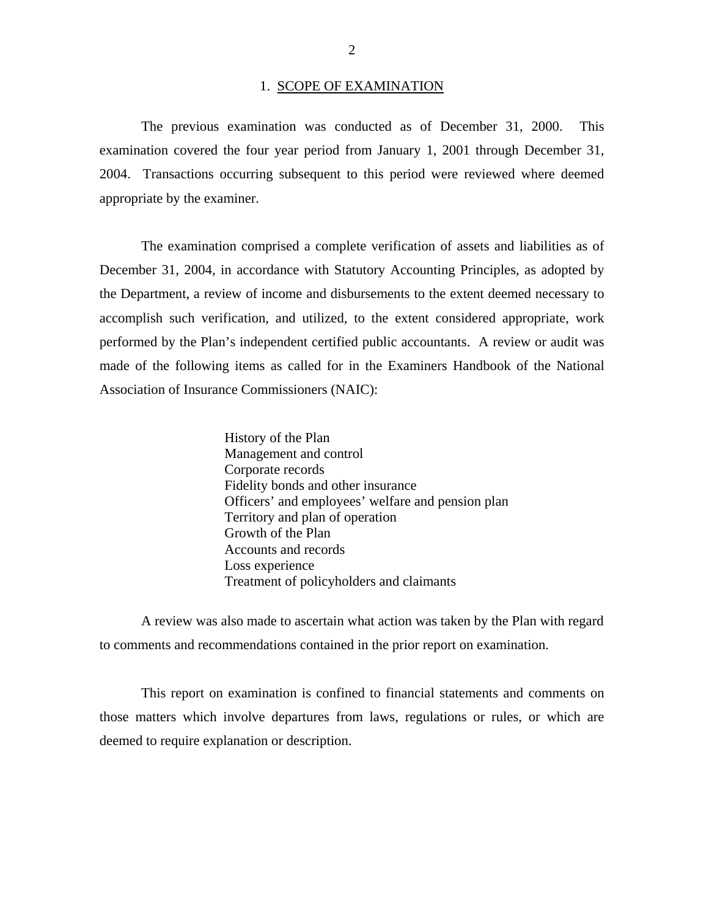#### 1. SCOPE OF EXAMINATION

The previous examination was conducted as of December 31, 2000. This examination covered the four year period from January 1, 2001 through December 31, 2004. Transactions occurring subsequent to this period were reviewed where deemed appropriate by the examiner.

The examination comprised a complete verification of assets and liabilities as of December 31, 2004, in accordance with Statutory Accounting Principles, as adopted by the Department, a review of income and disbursements to the extent deemed necessary to accomplish such verification, and utilized, to the extent considered appropriate, work performed by the Plan's independent certified public accountants. A review or audit was made of the following items as called for in the Examiners Handbook of the National Association of Insurance Commissioners (NAIC):

> History of the Plan Management and control Corporate records Fidelity bonds and other insurance Officers' and employees' welfare and pension plan Territory and plan of operation Growth of the Plan Accounts and records Loss experience Treatment of policyholders and claimants

A review was also made to ascertain what action was taken by the Plan with regard to comments and recommendations contained in the prior report on examination.

This report on examination is confined to financial statements and comments on those matters which involve departures from laws, regulations or rules, or which are deemed to require explanation or description.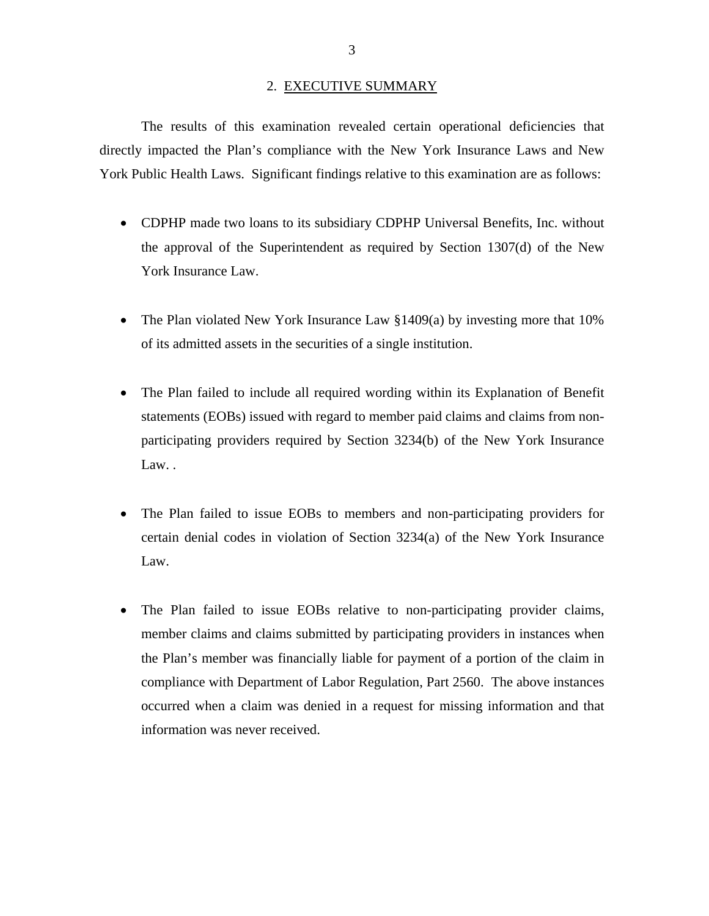#### 2. EXECUTIVE SUMMARY

The results of this examination revealed certain operational deficiencies that directly impacted the Plan's compliance with the New York Insurance Laws and New York Public Health Laws. Significant findings relative to this examination are as follows:

- CDPHP made two loans to its subsidiary CDPHP Universal Benefits, Inc. without the approval of the Superintendent as required by Section 1307(d) of the New York Insurance Law.
- The Plan violated New York Insurance Law §1409(a) by investing more that 10% of its admitted assets in the securities of a single institution.
- The Plan failed to include all required wording within its Explanation of Benefit statements (EOBs) issued with regard to member paid claims and claims from nonparticipating providers required by Section 3234(b) of the New York Insurance Law. .
- The Plan failed to issue EOBs to members and non-participating providers for certain denial codes in violation of Section 3234(a) of the New York Insurance Law.
- The Plan failed to issue EOBs relative to non-participating provider claims, member claims and claims submitted by participating providers in instances when the Plan's member was financially liable for payment of a portion of the claim in compliance with Department of Labor Regulation, Part 2560. The above instances occurred when a claim was denied in a request for missing information and that information was never received.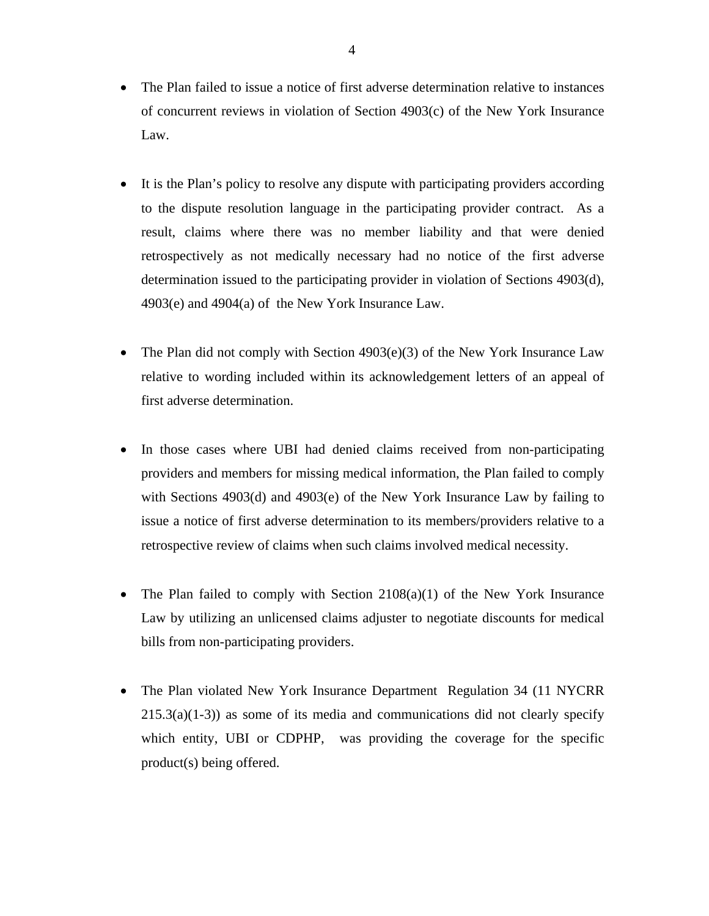- The Plan failed to issue a notice of first adverse determination relative to instances of concurrent reviews in violation of Section 4903(c) of the New York Insurance Law.
- It is the Plan's policy to resolve any dispute with participating providers according to the dispute resolution language in the participating provider contract. As a result, claims where there was no member liability and that were denied retrospectively as not medically necessary had no notice of the first adverse determination issued to the participating provider in violation of Sections 4903(d), 4903(e) and 4904(a) of the New York Insurance Law.
- The Plan did not comply with Section  $4903(e)(3)$  of the New York Insurance Law relative to wording included within its acknowledgement letters of an appeal of first adverse determination.
- In those cases where UBI had denied claims received from non-participating providers and members for missing medical information, the Plan failed to comply with Sections 4903(d) and 4903(e) of the New York Insurance Law by failing to issue a notice of first adverse determination to its members/providers relative to a retrospective review of claims when such claims involved medical necessity.
- The Plan failed to comply with Section 2108(a)(1) of the New York Insurance Law by utilizing an unlicensed claims adjuster to negotiate discounts for medical bills from non-participating providers.
- The Plan violated New York Insurance Department Regulation 34 (11 NYCRR)  $215.3(a)(1-3)$  as some of its media and communications did not clearly specify which entity, UBI or CDPHP, was providing the coverage for the specific product(s) being offered.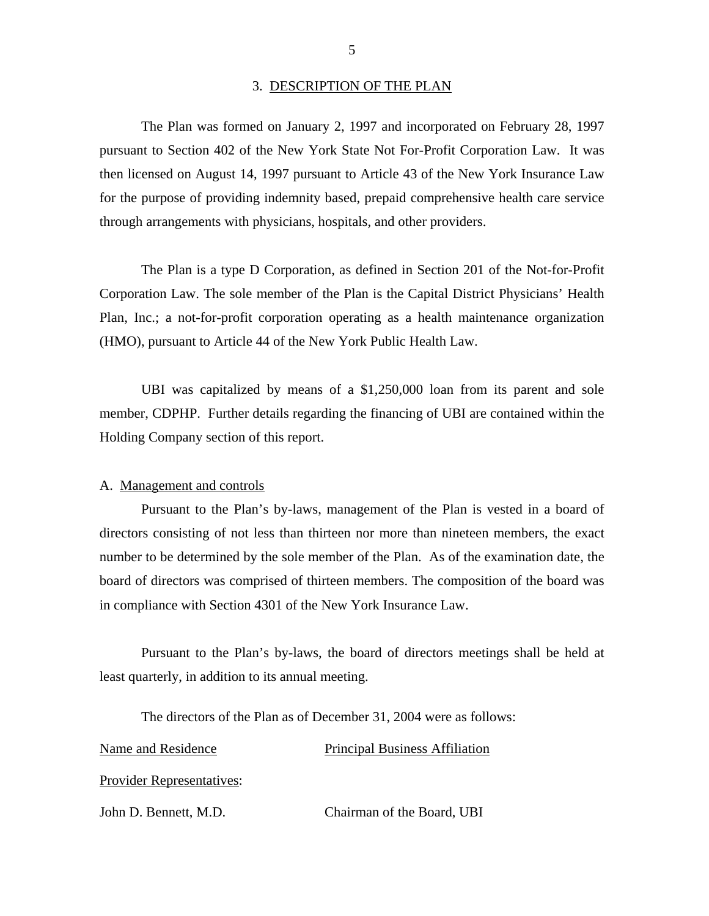#### 3. DESCRIPTION OF THE PLAN

The Plan was formed on January 2, 1997 and incorporated on February 28, 1997 pursuant to Section 402 of the New York State Not For-Profit Corporation Law. It was then licensed on August 14, 1997 pursuant to Article 43 of the New York Insurance Law for the purpose of providing indemnity based, prepaid comprehensive health care service through arrangements with physicians, hospitals, and other providers.

The Plan is a type D Corporation, as defined in Section 201 of the Not-for-Profit Corporation Law. The sole member of the Plan is the Capital District Physicians' Health Plan, Inc.; a not-for-profit corporation operating as a health maintenance organization (HMO), pursuant to Article 44 of the New York Public Health Law.

UBI was capitalized by means of a \$1,250,000 loan from its parent and sole member, CDPHP. Further details regarding the financing of UBI are contained within the Holding Company section of this report.

#### A. Management and controls

Pursuant to the Plan's by-laws, management of the Plan is vested in a board of directors consisting of not less than thirteen nor more than nineteen members, the exact number to be determined by the sole member of the Plan. As of the examination date, the board of directors was comprised of thirteen members. The composition of the board was in compliance with Section 4301 of the New York Insurance Law.

Pursuant to the Plan's by-laws, the board of directors meetings shall be held at least quarterly, in addition to its annual meeting.

The directors of the Plan as of December 31, 2004 were as follows:

#### Name and Residence Principal Business Affiliation

Provider Representatives:

John D. Bennett, M.D. Chairman of the Board, UBI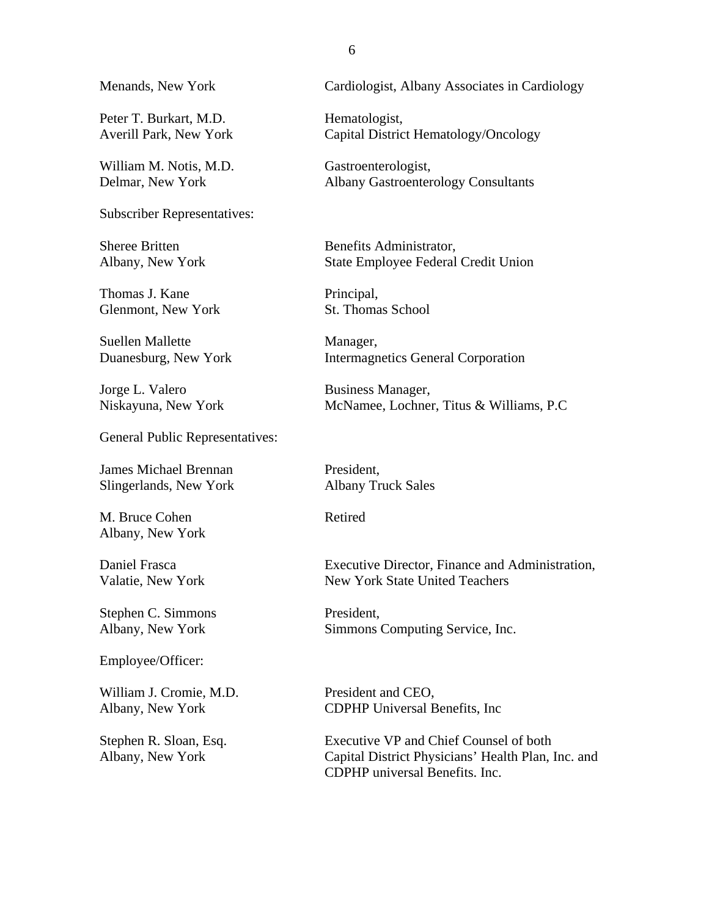Menands, New York

Peter T. Burkart, M.D. Averill Park, New York

William M. Notis, M.D. Delmar, New York

Subscriber Representatives:

Sheree Britten Albany, New York

Thomas J. Kane Glenmont, New York

Suellen Mallette Duanesburg, New York

Jorge L. Valero Niskayuna, New York

General Public Representatives:

James Michael Brennan Slingerlands, New York

M. Bruce Cohen Albany, New York

Daniel Frasca Valatie, New York

Stephen C. Simmons Albany, New York

Employee/Officer:

William J. Cromie, M.D. Albany, New York

Stephen R. Sloan, Esq. Albany, New York

Cardiologist, Albany Associates in Cardiology

Hematologist, Capital District Hematology/Oncology

Gastroenterologist, Albany Gastroenterology Consultants

Benefits Administrator, State Employee Federal Credit Union

Principal, St. Thomas School

Manager, Intermagnetics General Corporation

Business Manager, McNamee, Lochner, Titus & Williams, P.C

President, Albany Truck Sales

Retired

Executive Director, Finance and Administration, New York State United Teachers

President, Simmons Computing Service, Inc.

President and CEO, CDPHP Universal Benefits, Inc

Executive VP and Chief Counsel of both Capital District Physicians' Health Plan, Inc. and CDPHP universal Benefits. Inc.

6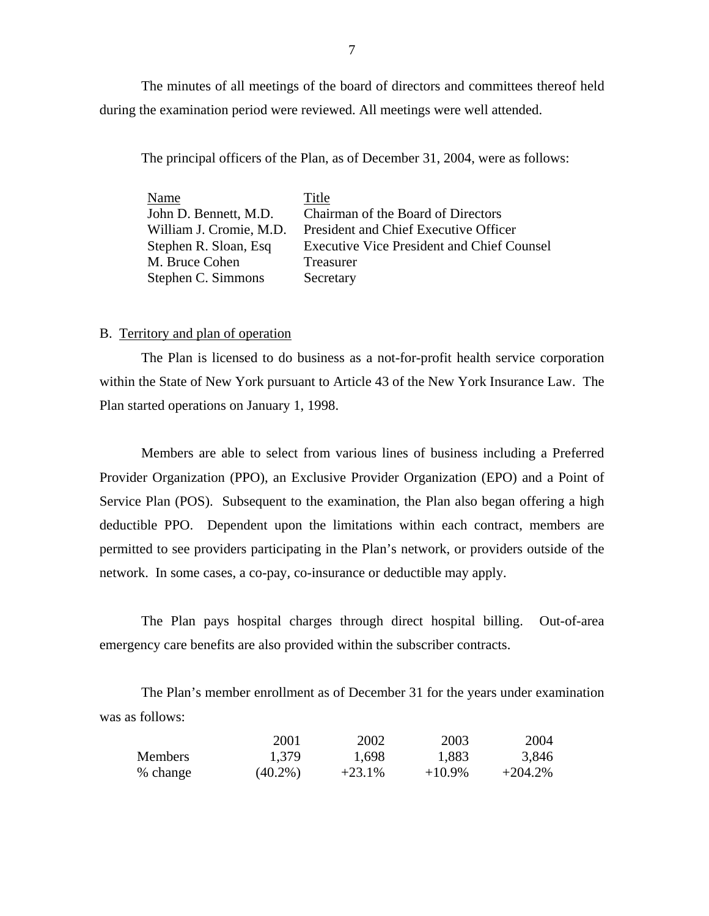<span id="page-8-0"></span>The minutes of all meetings of the board of directors and committees thereof held during the examination period were reviewed. All meetings were well attended.

The principal officers of the Plan, as of December 31, 2004, were as follows:

| Name                    | Title                                             |
|-------------------------|---------------------------------------------------|
| John D. Bennett, M.D.   | Chairman of the Board of Directors                |
| William J. Cromie, M.D. | President and Chief Executive Officer             |
| Stephen R. Sloan, Esq.  | <b>Executive Vice President and Chief Counsel</b> |
| M. Bruce Cohen          | Treasurer                                         |
| Stephen C. Simmons      | Secretary                                         |

#### B. Territory and plan of operation

The Plan is licensed to do business as a not-for-profit health service corporation within the State of New York pursuant to Article 43 of the New York Insurance Law. The Plan started operations on January 1, 1998.

Members are able to select from various lines of business including a Preferred Provider Organization (PPO), an Exclusive Provider Organization (EPO) and a Point of Service Plan (POS). Subsequent to the examination, the Plan also began offering a high deductible PPO. Dependent upon the limitations within each contract, members are permitted to see providers participating in the Plan's network, or providers outside of the network. In some cases, a co-pay, co-insurance or deductible may apply.

The Plan pays hospital charges through direct hospital billing. Out-of-area emergency care benefits are also provided within the subscriber contracts.

The Plan's member enrollment as of December 31 for the years under examination was as follows:

|                | 2001       | 2002      | 2003      | 2004       |
|----------------|------------|-----------|-----------|------------|
| <b>Members</b> | 1.379      | 1,698     | 1,883     | 3,846      |
| % change       | $(40.2\%)$ | $+23.1\%$ | $+10.9\%$ | $+204.2\%$ |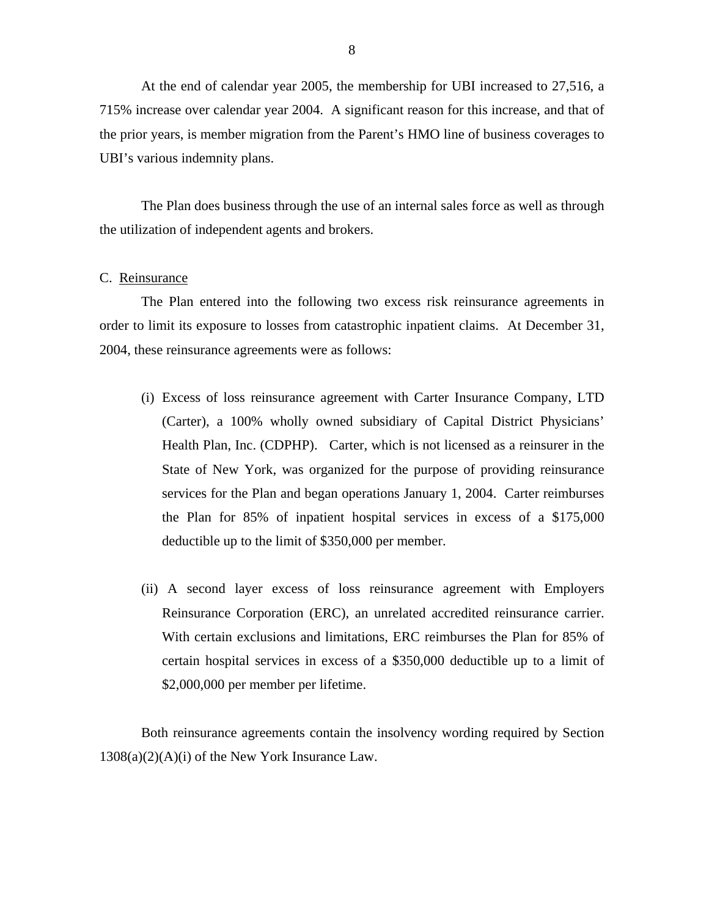<span id="page-9-0"></span>At the end of calendar year 2005, the membership for UBI increased to 27,516, a 715% increase over calendar year 2004. A significant reason for this increase, and that of the prior years, is member migration from the Parent's HMO line of business coverages to UBI's various indemnity plans.

The Plan does business through the use of an internal sales force as well as through the utilization of independent agents and brokers.

#### C. Reinsurance

The Plan entered into the following two excess risk reinsurance agreements in order to limit its exposure to losses from catastrophic inpatient claims. At December 31, 2004, these reinsurance agreements were as follows:

- (i) Excess of loss reinsurance agreement with Carter Insurance Company, LTD (Carter), a 100% wholly owned subsidiary of Capital District Physicians' Health Plan, Inc. (CDPHP). Carter, which is not licensed as a reinsurer in the State of New York, was organized for the purpose of providing reinsurance services for the Plan and began operations January 1, 2004. Carter reimburses the Plan for 85% of inpatient hospital services in excess of a \$175,000 deductible up to the limit of \$350,000 per member.
- Reinsurance Corporation (ERC), an unrelated accredited reinsurance carrier. (ii) A second layer excess of loss reinsurance agreement with Employers With certain exclusions and limitations, ERC reimburses the Plan for 85% of certain hospital services in excess of a \$350,000 deductible up to a limit of \$2,000,000 per member per lifetime.

Both reinsurance agreements contain the insolvency wording required by Section  $1308(a)(2)(A)(i)$  of the New York Insurance Law.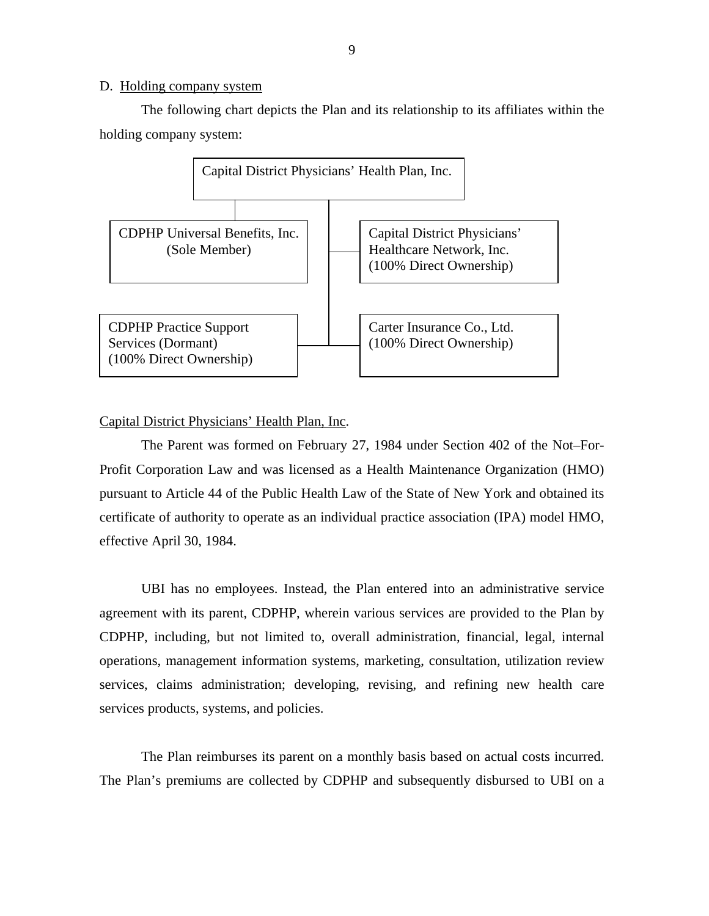#### <span id="page-10-0"></span>D. Holding company system

The following chart depicts the Plan and its relationship to its affiliates within the holding company system:



#### Capital District Physicians' Health Plan, Inc.

The Parent was formed on February 27, 1984 under Section 402 of the Not–For-Profit Corporation Law and was licensed as a Health Maintenance Organization (HMO) pursuant to Article 44 of the Public Health Law of the State of New York and obtained its certificate of authority to operate as an individual practice association (IPA) model HMO, effective April 30, 1984.

UBI has no employees. Instead, the Plan entered into an administrative service agreement with its parent, CDPHP, wherein various services are provided to the Plan by CDPHP, including, but not limited to, overall administration, financial, legal, internal operations, management information systems, marketing, consultation, utilization review services, claims administration; developing, revising, and refining new health care services products, systems, and policies.

The Plan reimburses its parent on a monthly basis based on actual costs incurred. The Plan's premiums are collected by CDPHP and subsequently disbursed to UBI on a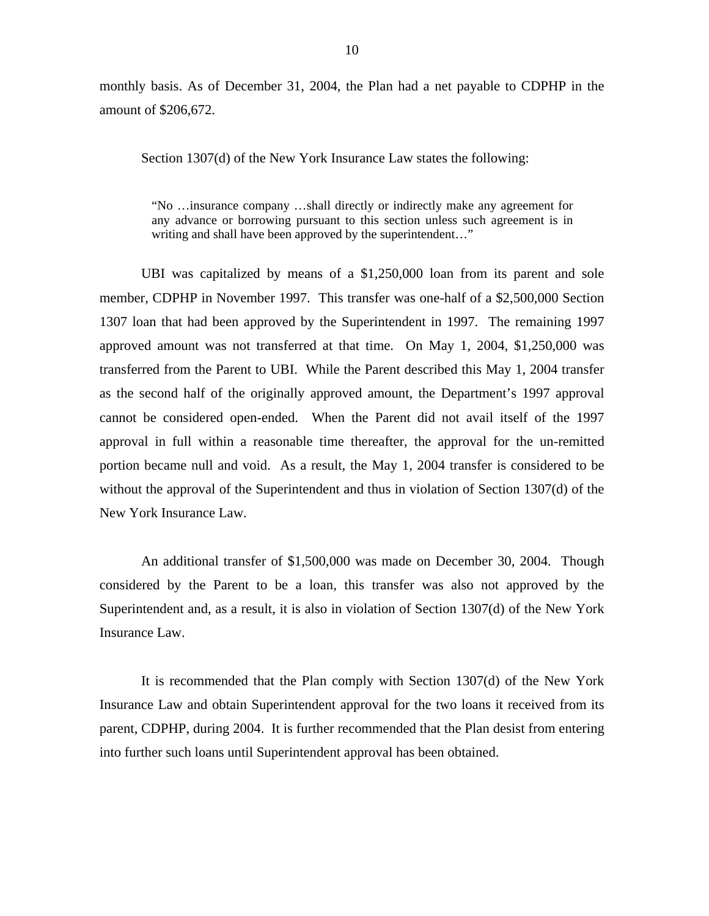monthly basis. As of December 31, 2004, the Plan had a net payable to CDPHP in the amount of \$206,672.

Section 1307(d) of the New York Insurance Law states the following:

"No …insurance company …shall directly or indirectly make any agreement for any advance or borrowing pursuant to this section unless such agreement is in writing and shall have been approved by the superintendent…"

UBI was capitalized by means of a \$1,250,000 loan from its parent and sole member, CDPHP in November 1997. This transfer was one-half of a \$2,500,000 Section 1307 loan that had been approved by the Superintendent in 1997. The remaining 1997 approved amount was not transferred at that time. On May 1, 2004, \$1,250,000 was transferred from the Parent to UBI. While the Parent described this May 1, 2004 transfer as the second half of the originally approved amount, the Department's 1997 approval cannot be considered open-ended. When the Parent did not avail itself of the 1997 approval in full within a reasonable time thereafter, the approval for the un-remitted portion became null and void. As a result, the May 1, 2004 transfer is considered to be without the approval of the Superintendent and thus in violation of Section 1307(d) of the New York Insurance Law.

An additional transfer of \$1,500,000 was made on December 30, 2004. Though considered by the Parent to be a loan, this transfer was also not approved by the Superintendent and, as a result, it is also in violation of Section 1307(d) of the New York Insurance Law.

It is recommended that the Plan comply with Section 1307(d) of the New York Insurance Law and obtain Superintendent approval for the two loans it received from its parent, CDPHP, during 2004. It is further recommended that the Plan desist from entering into further such loans until Superintendent approval has been obtained.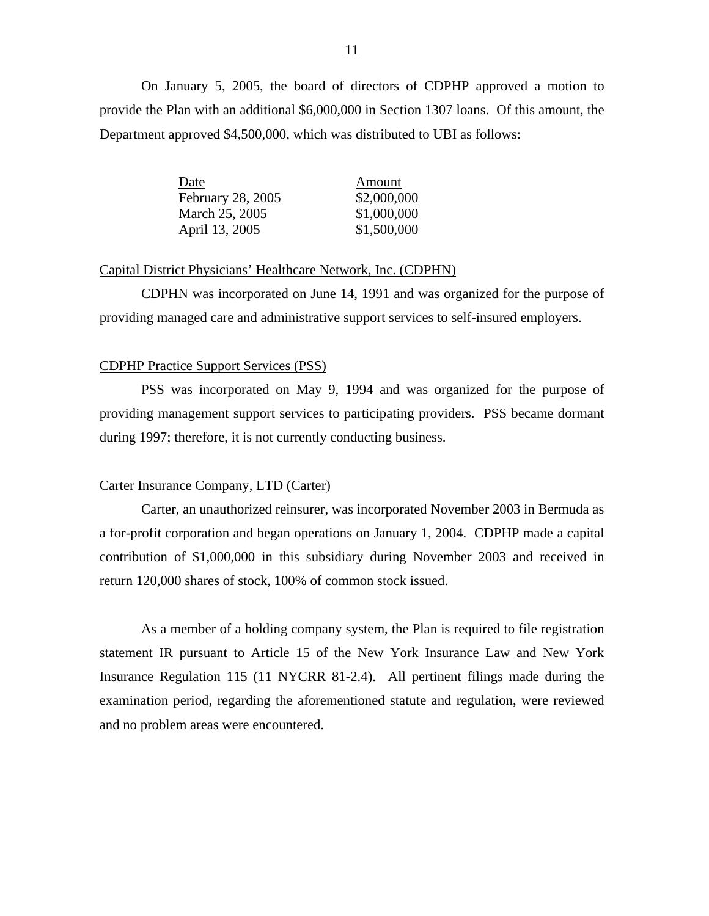On January 5, 2005, the board of directors of CDPHP approved a motion to provide the Plan with an additional \$6,000,000 in Section 1307 loans. Of this amount, the Department approved \$4,500,000, which was distributed to UBI as follows:

| Date              | Amount      |
|-------------------|-------------|
| February 28, 2005 | \$2,000,000 |
| March 25, 2005    | \$1,000,000 |
| April 13, 2005    | \$1,500,000 |

#### Capital District Physicians' Healthcare Network, Inc. (CDPHN)

CDPHN was incorporated on June 14, 1991 and was organized for the purpose of providing managed care and administrative support services to self-insured employers.

#### **CDPHP Practice Support Services (PSS)**

PSS was incorporated on May 9, 1994 and was organized for the purpose of providing management support services to participating providers. PSS became dormant during 1997; therefore, it is not currently conducting business.

#### Carter Insurance Company, LTD (Carter)

Carter, an unauthorized reinsurer, was incorporated November 2003 in Bermuda as a for-profit corporation and began operations on January 1, 2004. CDPHP made a capital contribution of \$1,000,000 in this subsidiary during November 2003 and received in return 120,000 shares of stock, 100% of common stock issued.

As a member of a holding company system, the Plan is required to file registration statement IR pursuant to Article 15 of the New York Insurance Law and New York Insurance Regulation 115 (11 NYCRR 81-2.4). All pertinent filings made during the examination period, regarding the aforementioned statute and regulation, were reviewed and no problem areas were encountered.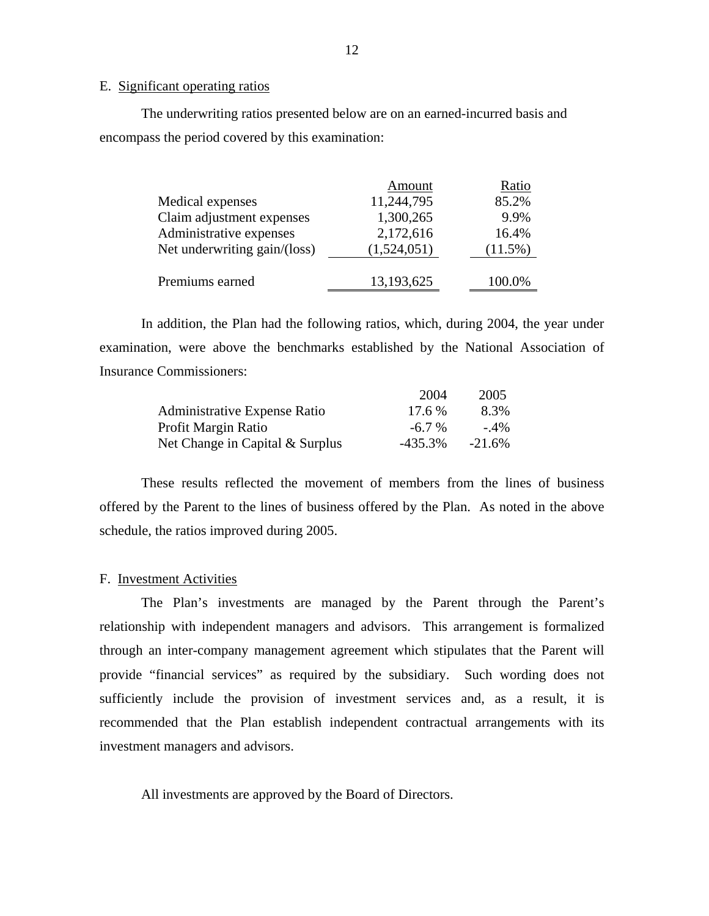#### E. Significant operating ratios

The underwriting ratios presented below are on an earned-incurred basis and encompass the period covered by this examination:

|                              | Amount      | Ratio      |
|------------------------------|-------------|------------|
| Medical expenses             | 11,244,795  | 85.2%      |
| Claim adjustment expenses    | 1,300,265   | 9.9%       |
| Administrative expenses      | 2,172,616   | 16.4%      |
| Net underwriting gain/(loss) | (1,524,051) | $(11.5\%)$ |
|                              |             |            |
| Premiums earned              | 13,193,625  | 100.0%     |

In addition, the Plan had the following ratios, which, during 2004, the year under examination, were above the benchmarks established by the National Association of Insurance Commissioners:

|                                     | 2004      | 2005      |
|-------------------------------------|-----------|-----------|
| <b>Administrative Expense Ratio</b> | 17.6 %    | 8.3%      |
| Profit Margin Ratio                 | $-6.7\%$  | $-4\%$    |
| Net Change in Capital & Surplus     | $-435.3%$ | $-21.6\%$ |

These results reflected the movement of members from the lines of business offered by the Parent to the lines of business offered by the Plan. As noted in the above schedule, the ratios improved during 2005.

#### F. Investment Activities

The Plan's investments are managed by the Parent through the Parent's relationship with independent managers and advisors. This arrangement is formalized through an inter-company management agreement which stipulates that the Parent will provide "financial services" as required by the subsidiary. Such wording does not sufficiently include the provision of investment services and, as a result, it is recommended that the Plan establish independent contractual arrangements with its investment managers and advisors.

All investments are approved by the Board of Directors.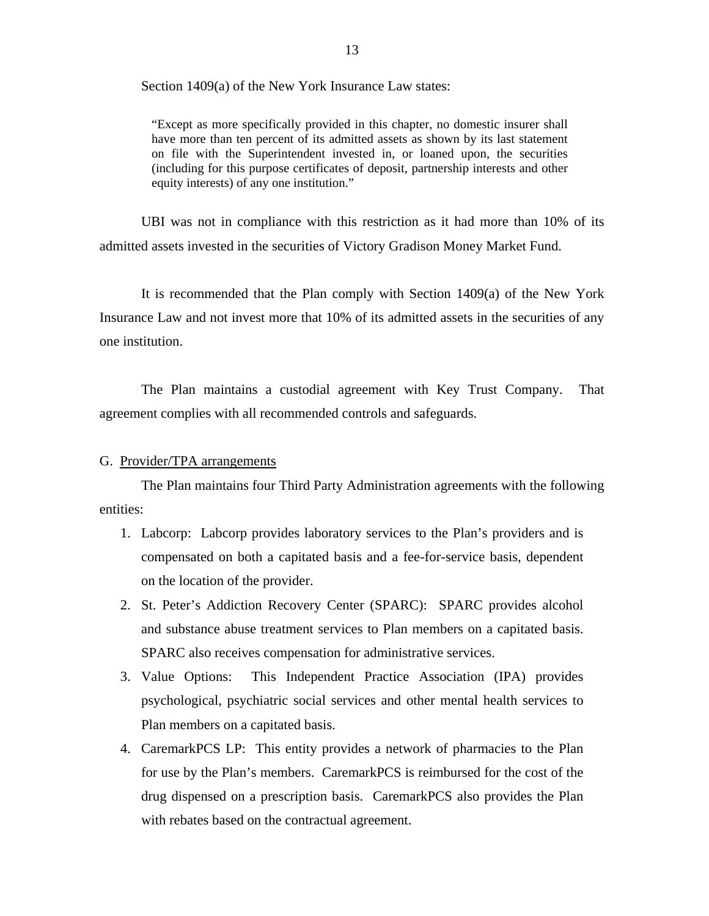<span id="page-14-0"></span>Section 1409(a) of the New York Insurance Law states:

"Except as more specifically provided in this chapter, no domestic insurer shall have more than ten percent of its admitted assets as shown by its last statement on file with the Superintendent invested in, or loaned upon, the securities (including for this purpose certificates of deposit, partnership interests and other equity interests) of any one institution."

UBI was not in compliance with this restriction as it had more than 10% of its admitted assets invested in the securities of Victory Gradison Money Market Fund.

It is recommended that the Plan comply with Section 1409(a) of the New York Insurance Law and not invest more that 10% of its admitted assets in the securities of any one institution.

The Plan maintains a custodial agreement with Key Trust Company. That agreement complies with all recommended controls and safeguards.

#### G. Provider/TPA arrangements

The Plan maintains four Third Party Administration agreements with the following entities:

- 1. Labcorp: Labcorp provides laboratory services to the Plan's providers and is compensated on both a capitated basis and a fee-for-service basis, dependent on the location of the provider.
- and substance abuse treatment services to Plan members on a capitated basis. SPARC also receives compensation for administrative services. 2. St. Peter's Addiction Recovery Center (SPARC): SPARC provides alcohol
- 3. Value Options: This Independent Practice Association (IPA) provides psychological, psychiatric social services and other mental health services to Plan members on a capitated basis.
- 4. CaremarkPCS LP: This entity provides a network of pharmacies to the Plan for use by the Plan's members. CaremarkPCS is reimbursed for the cost of the drug dispensed on a prescription basis. CaremarkPCS also provides the Plan with rebates based on the contractual agreement.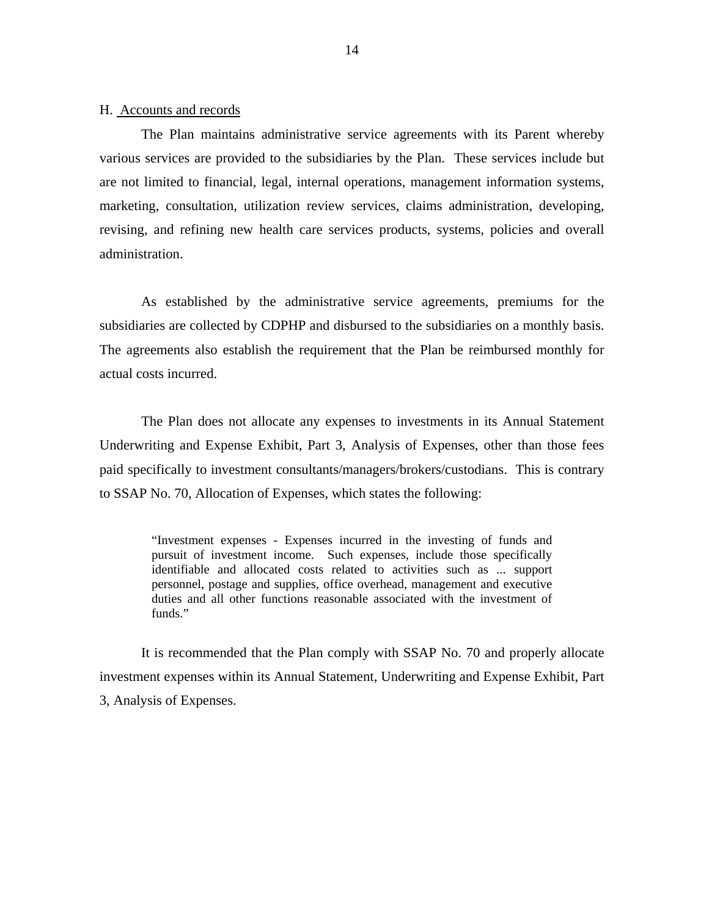#### <span id="page-15-0"></span>H. Accounts and records

The Plan maintains administrative service agreements with its Parent whereby various services are provided to the subsidiaries by the Plan. These services include but are not limited to financial, legal, internal operations, management information systems, marketing, consultation, utilization review services, claims administration, developing, revising, and refining new health care services products, systems, policies and overall administration.

As established by the administrative service agreements, premiums for the subsidiaries are collected by CDPHP and disbursed to the subsidiaries on a monthly basis. The agreements also establish the requirement that the Plan be reimbursed monthly for actual costs incurred.

The Plan does not allocate any expenses to investments in its Annual Statement Underwriting and Expense Exhibit, Part 3, Analysis of Expenses, other than those fees paid specifically to investment consultants/managers/brokers/custodians. This is contrary to SSAP No. 70, Allocation of Expenses, which states the following:

> "Investment expenses - Expenses incurred in the investing of funds and pursuit of investment income. Such expenses, include those specifically identifiable and allocated costs related to activities such as ... support personnel, postage and supplies, office overhead, management and executive duties and all other functions reasonable associated with the investment of funds."

It is recommended that the Plan comply with SSAP No. 70 and properly allocate investment expenses within its Annual Statement, Underwriting and Expense Exhibit, Part 3, Analysis of Expenses.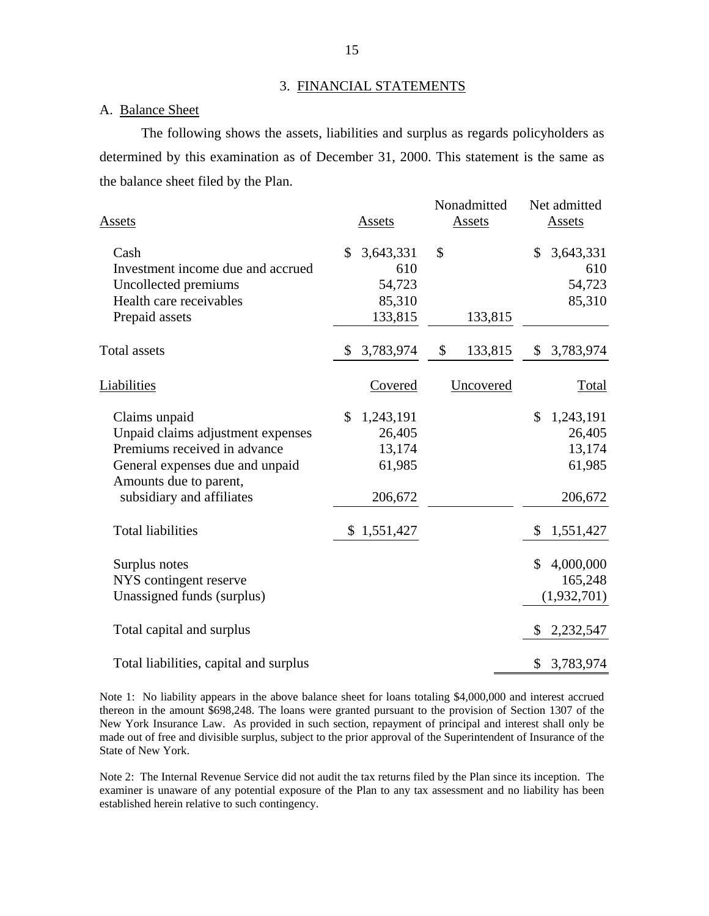#### 3. FINANCIAL STATEMENTS

#### A. Balance Sheet

The following shows the assets, liabilities and surplus as regards policyholders as determined by this examination as of December 31, 2000. This statement is the same as the balance sheet filed by the Plan.

| Assets                                                                                                                                                                       | Assets                                                   | Nonadmitted<br>Assets | Net admitted<br>Assets                                             |
|------------------------------------------------------------------------------------------------------------------------------------------------------------------------------|----------------------------------------------------------|-----------------------|--------------------------------------------------------------------|
| Cash<br>Investment income due and accrued<br>Uncollected premiums<br>Health care receivables<br>Prepaid assets                                                               | 3,643,331<br>\$<br>610<br>54,723<br>85,310<br>133,815    | \$<br>133,815         | \$<br>3,643,331<br>610<br>54,723<br>85,310                         |
| Total assets                                                                                                                                                                 | \$<br>3,783,974                                          | \$<br>133,815         | 3,783,974<br>\$                                                    |
| Liabilities                                                                                                                                                                  | Covered                                                  | Uncovered             | Total                                                              |
| Claims unpaid<br>Unpaid claims adjustment expenses<br>Premiums received in advance<br>General expenses due and unpaid<br>Amounts due to parent,<br>subsidiary and affiliates | \$<br>1,243,191<br>26,405<br>13,174<br>61,985<br>206,672 |                       | $\mathbb{S}$<br>1,243,191<br>26,405<br>13,174<br>61,985<br>206,672 |
| <b>Total liabilities</b>                                                                                                                                                     | \$1,551,427                                              |                       | \$<br>1,551,427                                                    |
| Surplus notes<br>NYS contingent reserve<br>Unassigned funds (surplus)                                                                                                        |                                                          |                       | 4,000,000<br>\$<br>165,248<br>(1,932,701)                          |
| Total capital and surplus                                                                                                                                                    |                                                          |                       | \$<br>2,232,547                                                    |
| Total liabilities, capital and surplus                                                                                                                                       |                                                          |                       | 3,783,974<br>\$                                                    |

Note 1: No liability appears in the above balance sheet for loans totaling \$4,000,000 and interest accrued thereon in the amount \$698,248. The loans were granted pursuant to the provision of Section 1307 of the New York Insurance Law. As provided in such section, repayment of principal and interest shall only be made out of free and divisible surplus, subject to the prior approval of the Superintendent of Insurance of the State of New York.

Note 2: The Internal Revenue Service did not audit the tax returns filed by the Plan since its inception. The examiner is unaware of any potential exposure of the Plan to any tax assessment and no liability has been established herein relative to such contingency.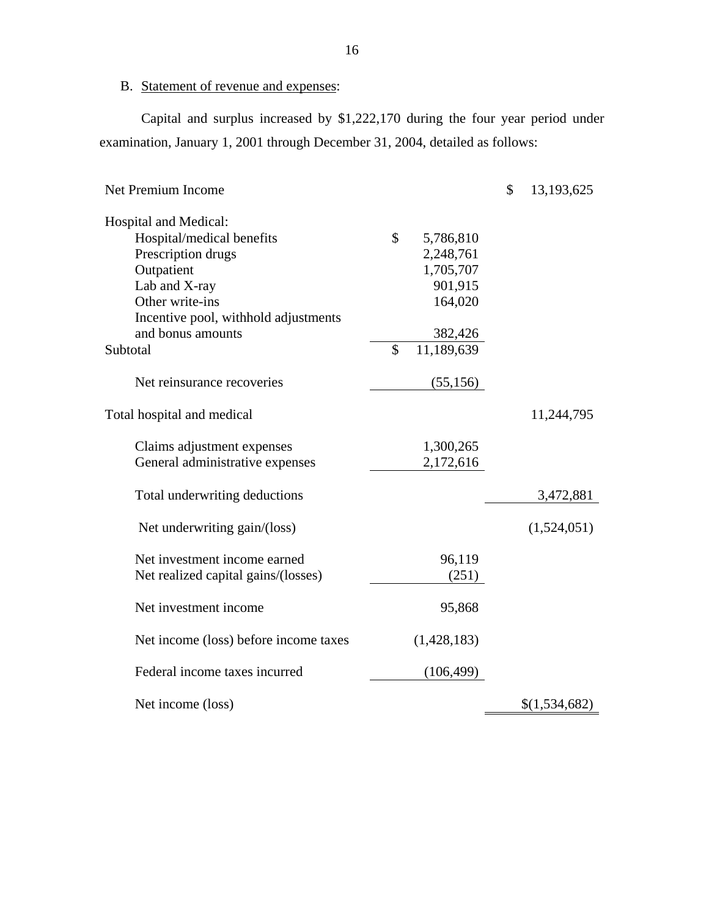## B. Statement of revenue and expenses:

Capital and surplus increased by \$1,222,170 during the four year period under examination, January 1, 2001 through December 31, 2004, detailed as follows:

| <b>Net Premium Income</b>             |               |             | \$<br>13,193,625 |
|---------------------------------------|---------------|-------------|------------------|
| Hospital and Medical:                 |               |             |                  |
| Hospital/medical benefits             | $\mathbb{S}$  | 5,786,810   |                  |
| Prescription drugs                    |               | 2,248,761   |                  |
| Outpatient                            |               | 1,705,707   |                  |
| Lab and X-ray                         |               | 901,915     |                  |
| Other write-ins                       |               | 164,020     |                  |
| Incentive pool, withhold adjustments  |               |             |                  |
| and bonus amounts                     |               | 382,426     |                  |
| Subtotal                              | $\mathcal{S}$ | 11,189,639  |                  |
| Net reinsurance recoveries            |               | (55, 156)   |                  |
| Total hospital and medical            |               |             | 11,244,795       |
| Claims adjustment expenses            |               | 1,300,265   |                  |
| General administrative expenses       |               | 2,172,616   |                  |
| Total underwriting deductions         |               |             | 3,472,881        |
| Net underwriting gain/(loss)          |               |             | (1,524,051)      |
| Net investment income earned          |               | 96,119      |                  |
| Net realized capital gains/(losses)   |               | (251)       |                  |
| Net investment income                 |               | 95,868      |                  |
| Net income (loss) before income taxes |               | (1,428,183) |                  |
| Federal income taxes incurred         |               | (106, 499)  |                  |
| Net income (loss)                     |               |             | \$(1,534,682)    |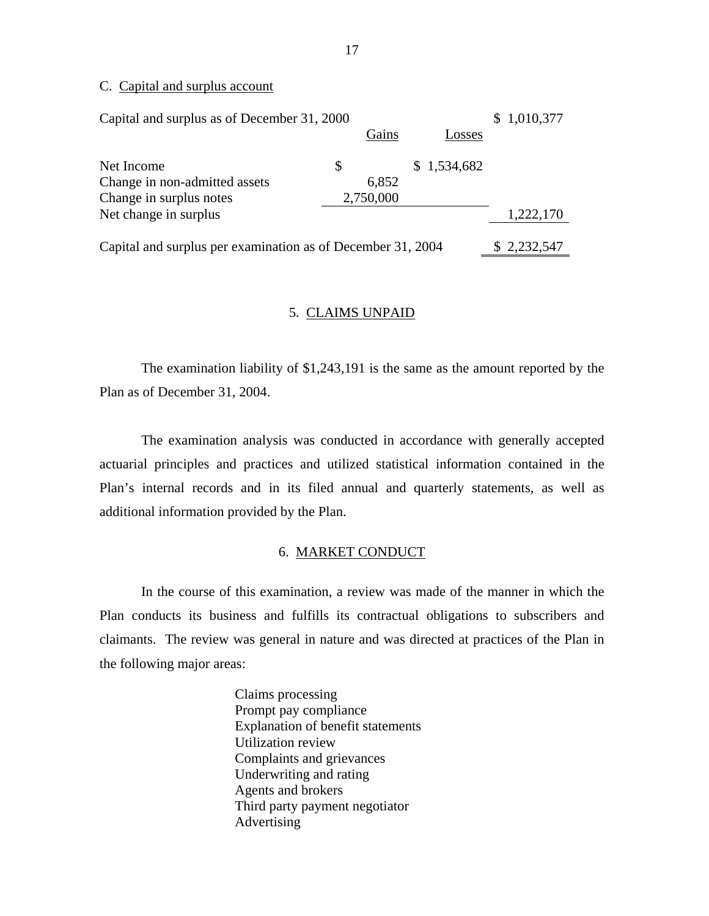#### C. Capital and surplus account

| Capital and surplus as of December 31, 2000                 |           |             | \$1,010,377 |
|-------------------------------------------------------------|-----------|-------------|-------------|
|                                                             | Gains     | Losses      |             |
| Net Income                                                  | \$        | \$1,534,682 |             |
| Change in non-admitted assets                               | 6,852     |             |             |
| Change in surplus notes                                     | 2,750,000 |             |             |
| Net change in surplus                                       |           |             | 1,222,170   |
| Capital and surplus per examination as of December 31, 2004 |           |             | \$2,232,547 |

#### 5. CLAIMS UNPAID

The examination liability of \$1,243,191 is the same as the amount reported by the Plan as of December 31, 2004.

The examination analysis was conducted in accordance with generally accepted actuarial principles and practices and utilized statistical information contained in the Plan's internal records and in its filed annual and quarterly statements, as well as additional information provided by the Plan.

#### 6. MARKET CONDUCT

In the course of this examination, a review was made of the manner in which the Plan conducts its business and fulfills its contractual obligations to subscribers and claimants. The review was general in nature and was directed at practices of the Plan in the following major areas:

> Claims processing Prompt pay compliance Explanation of benefit statements Utilization review Complaints and grievances Underwriting and rating Agents and brokers Third party payment negotiator Advertising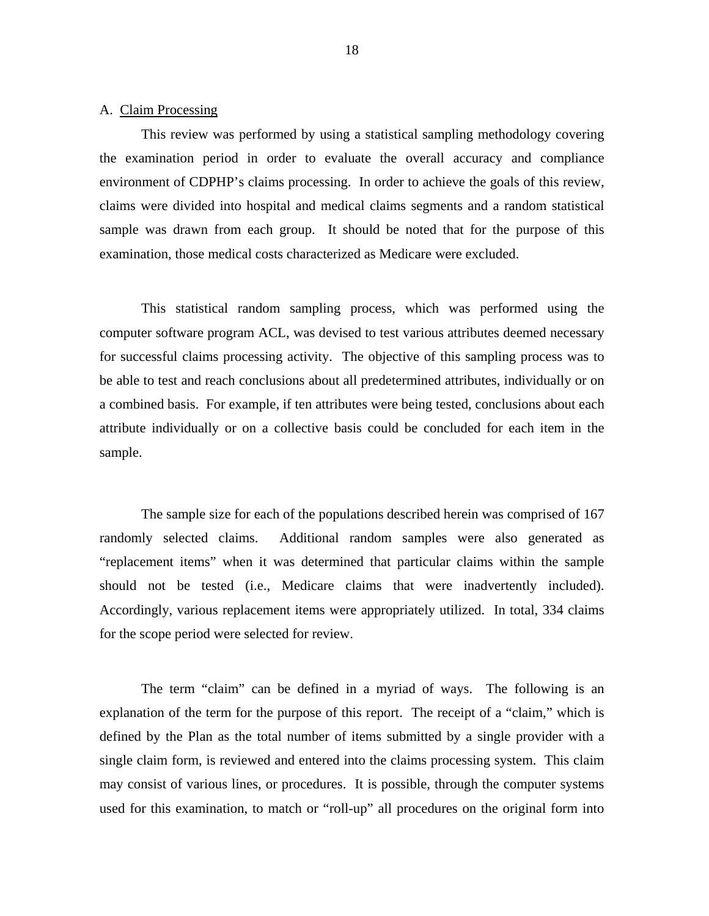#### A. Claim Processing

This review was performed by using a statistical sampling methodology covering the examination period in order to evaluate the overall accuracy and compliance environment of CDPHP's claims processing. In order to achieve the goals of this review, claims were divided into hospital and medical claims segments and a random statistical sample was drawn from each group. It should be noted that for the purpose of this examination, those medical costs characterized as Medicare were excluded.

This statistical random sampling process, which was performed using the computer software program ACL, was devised to test various attributes deemed necessary for successful claims processing activity. The objective of this sampling process was to be able to test and reach conclusions about all predetermined attributes, individually or on a combined basis. For example, if ten attributes were being tested, conclusions about each attribute individually or on a collective basis could be concluded for each item in the sample.

The sample size for each of the populations described herein was comprised of 167 randomly selected claims. Additional random samples were also generated as "replacement items" when it was determined that particular claims within the sample should not be tested (i.e., Medicare claims that were inadvertently included). Accordingly, various replacement items were appropriately utilized. In total, 334 claims for the scope period were selected for review.

The term "claim" can be defined in a myriad of ways. The following is an explanation of the term for the purpose of this report. The receipt of a "claim," which is defined by the Plan as the total number of items submitted by a single provider with a single claim form, is reviewed and entered into the claims processing system. This claim may consist of various lines, or procedures. It is possible, through the computer systems used for this examination, to match or "roll-up" all procedures on the original form into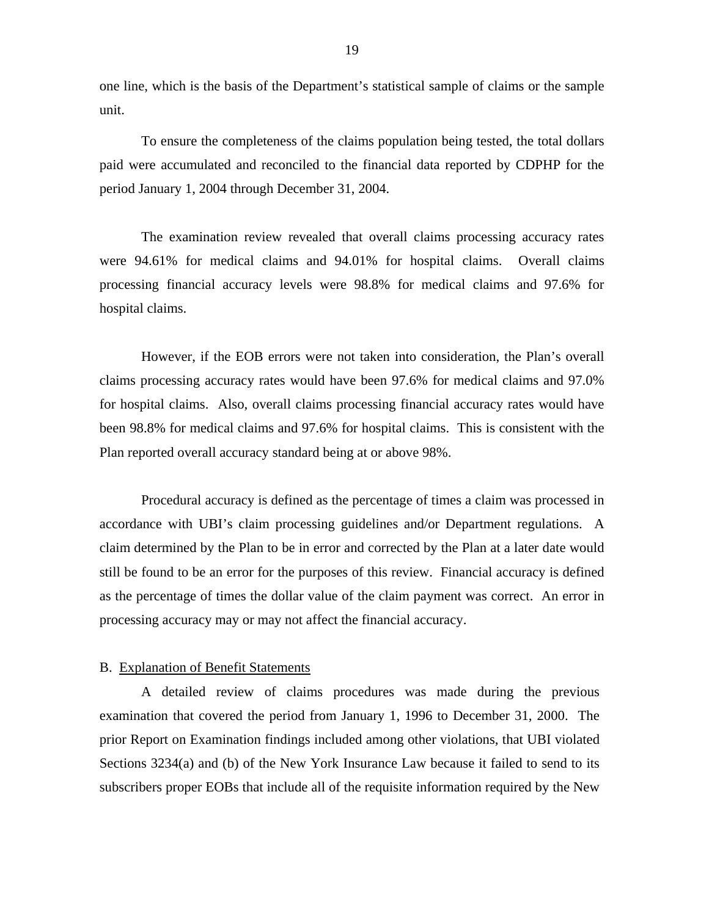one line, which is the basis of the Department's statistical sample of claims or the sample unit.

To ensure the completeness of the claims population being tested, the total dollars paid were accumulated and reconciled to the financial data reported by CDPHP for the period January 1, 2004 through December 31, 2004.

The examination review revealed that overall claims processing accuracy rates were 94.61% for medical claims and 94.01% for hospital claims. Overall claims processing financial accuracy levels were 98.8% for medical claims and 97.6% for hospital claims.

However, if the EOB errors were not taken into consideration, the Plan's overall claims processing accuracy rates would have been 97.6% for medical claims and 97.0% for hospital claims. Also, overall claims processing financial accuracy rates would have been 98.8% for medical claims and 97.6% for hospital claims. This is consistent with the Plan reported overall accuracy standard being at or above 98%.

Procedural accuracy is defined as the percentage of times a claim was processed in accordance with UBI's claim processing guidelines and/or Department regulations. A claim determined by the Plan to be in error and corrected by the Plan at a later date would still be found to be an error for the purposes of this review. Financial accuracy is defined as the percentage of times the dollar value of the claim payment was correct. An error in processing accuracy may or may not affect the financial accuracy.

#### **B.** Explanation of Benefit Statements

A detailed review of claims procedures was made during the previous examination that covered the period from January 1, 1996 to December 31, 2000. The prior Report on Examination findings included among other violations, that UBI violated Sections 3234(a) and (b) of the New York Insurance Law because it failed to send to its subscribers proper EOBs that include all of the requisite information required by the New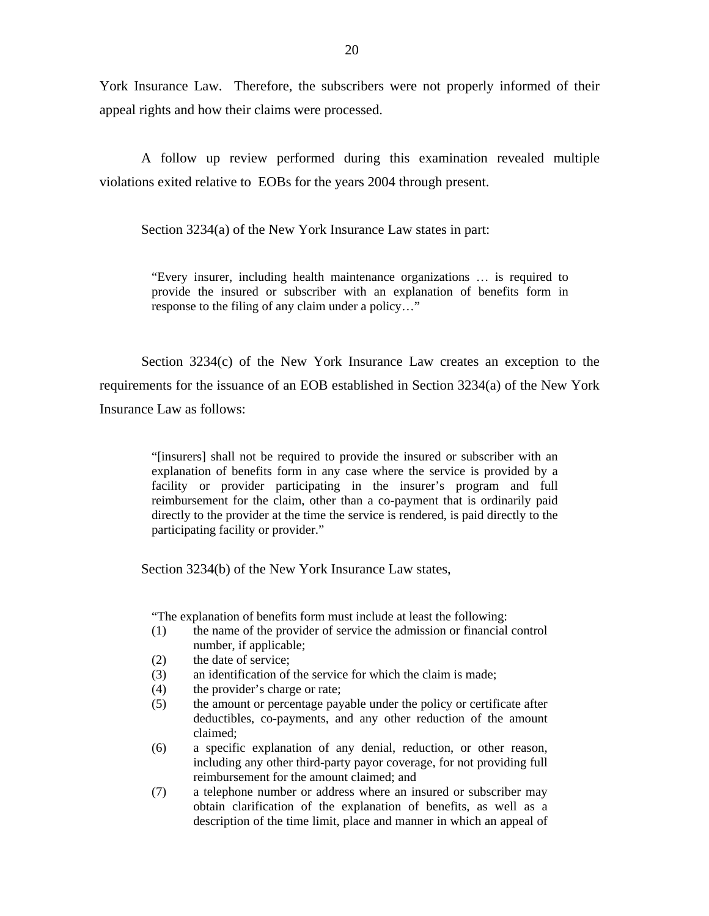York Insurance Law. Therefore, the subscribers were not properly informed of their appeal rights and how their claims were processed.

A follow up review performed during this examination revealed multiple violations exited relative to EOBs for the years 2004 through present.

Section 3234(a) of the New York Insurance Law states in part:

"Every insurer, including health maintenance organizations … is required to provide the insured or subscriber with an explanation of benefits form in response to the filing of any claim under a policy…"

Section 3234(c) of the New York Insurance Law creates an exception to the requirements for the issuance of an EOB established in Section 3234(a) of the New York Insurance Law as follows:

> "[insurers] shall not be required to provide the insured or subscriber with an explanation of benefits form in any case where the service is provided by a facility or provider participating in the insurer's program and full reimbursement for the claim, other than a co-payment that is ordinarily paid directly to the provider at the time the service is rendered, is paid directly to the participating facility or provider."

Section 3234(b) of the New York Insurance Law states,

"The explanation of benefits form must include at least the following:

- (1) the name of the provider of service the admission or financial control number, if applicable;
- (2) the date of service;
- (3) an identification of the service for which the claim is made;
- (4) the provider's charge or rate;
- (5) the amount or percentage payable under the policy or certificate after deductibles, co-payments, and any other reduction of the amount claimed;
- (6) a specific explanation of any denial, reduction, or other reason, including any other third-party payor coverage, for not providing full reimbursement for the amount claimed; and
- (7) a telephone number or address where an insured or subscriber may obtain clarification of the explanation of benefits, as well as a description of the time limit, place and manner in which an appeal of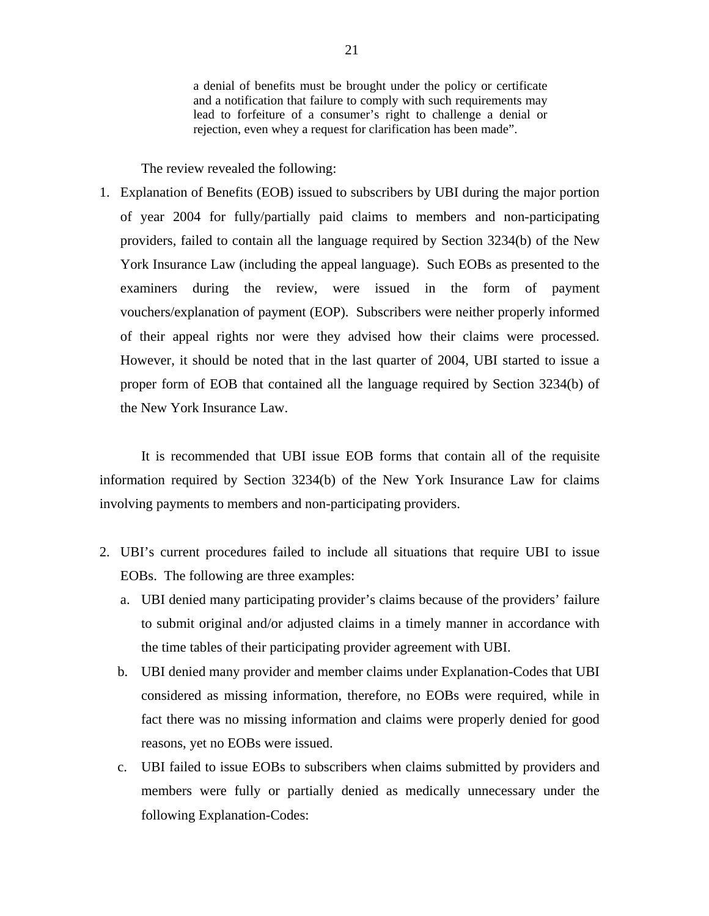a denial of benefits must be brought under the policy or certificate and a notification that failure to comply with such requirements may lead to forfeiture of a consumer's right to challenge a denial or rejection, even whey a request for clarification has been made".

The review revealed the following:

1. Explanation of Benefits (EOB) issued to subscribers by UBI during the major portion of year 2004 for fully/partially paid claims to members and non-participating providers, failed to contain all the language required by Section 3234(b) of the New York Insurance Law (including the appeal language). Such EOBs as presented to the examiners during the review, were issued in the form of payment vouchers/explanation of payment (EOP). Subscribers were neither properly informed of their appeal rights nor were they advised how their claims were processed. However, it should be noted that in the last quarter of 2004, UBI started to issue a proper form of EOB that contained all the language required by Section 3234(b) of the New York Insurance Law.

It is recommended that UBI issue EOB forms that contain all of the requisite information required by Section 3234(b) of the New York Insurance Law for claims involving payments to members and non-participating providers.

- 2. UBI's current procedures failed to include all situations that require UBI to issue EOBs. The following are three examples:
	- a. UBI denied many participating provider's claims because of the providers' failure to submit original and/or adjusted claims in a timely manner in accordance with the time tables of their participating provider agreement with UBI.
	- b. UBI denied many provider and member claims under Explanation-Codes that UBI considered as missing information, therefore, no EOBs were required, while in fact there was no missing information and claims were properly denied for good reasons, yet no EOBs were issued.
	- c. UBI failed to issue EOBs to subscribers when claims submitted by providers and members were fully or partially denied as medically unnecessary under the following Explanation-Codes: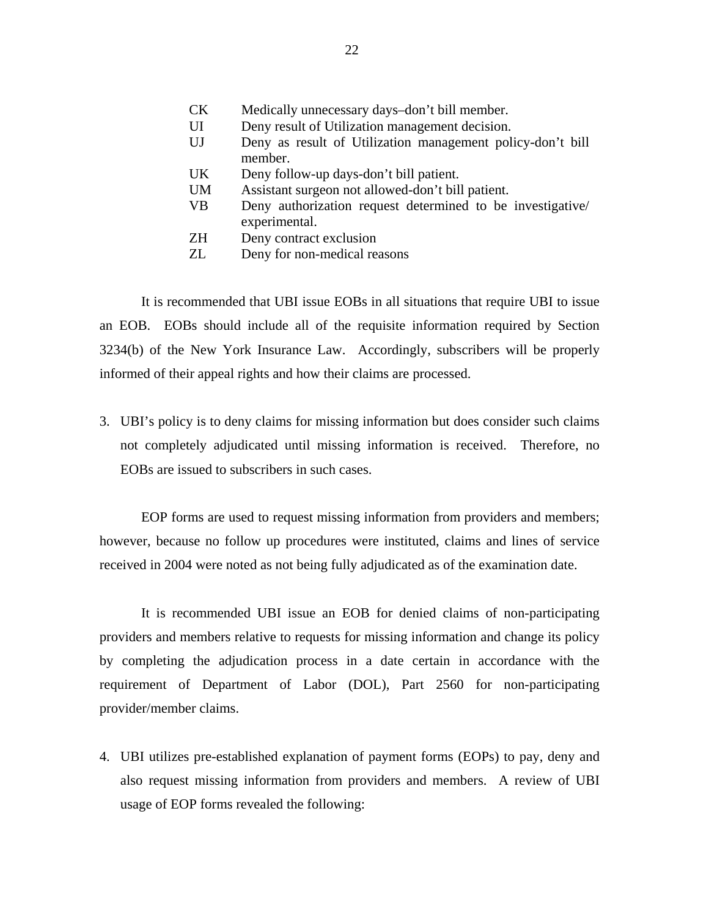- CK Medically unnecessary days–don't bill member.
- UI Deny result of Utilization management decision.
- UJ Deny as result of Utilization management policy-don't bill member.
- UK Deny follow-up days-don't bill patient.
- UM Assistant surgeon not allowed-don't bill patient.
- VB Deny authorization request determined to be investigative/ experimental.
- ZH Deny contract exclusion
- ZL Deny for non-medical reasons

It is recommended that UBI issue EOBs in all situations that require UBI to issue an EOB. EOBs should include all of the requisite information required by Section 3234(b) of the New York Insurance Law. Accordingly, subscribers will be properly informed of their appeal rights and how their claims are processed.

3. UBI's policy is to deny claims for missing information but does consider such claims not completely adjudicated until missing information is received. Therefore, no EOBs are issued to subscribers in such cases.

EOP forms are used to request missing information from providers and members; however, because no follow up procedures were instituted, claims and lines of service received in 2004 were noted as not being fully adjudicated as of the examination date.

It is recommended UBI issue an EOB for denied claims of non-participating providers and members relative to requests for missing information and change its policy by completing the adjudication process in a date certain in accordance with the requirement of Department of Labor (DOL), Part 2560 for non-participating provider/member claims.

4. UBI utilizes pre-established explanation of payment forms (EOPs) to pay, deny and also request missing information from providers and members. A review of UBI usage of EOP forms revealed the following: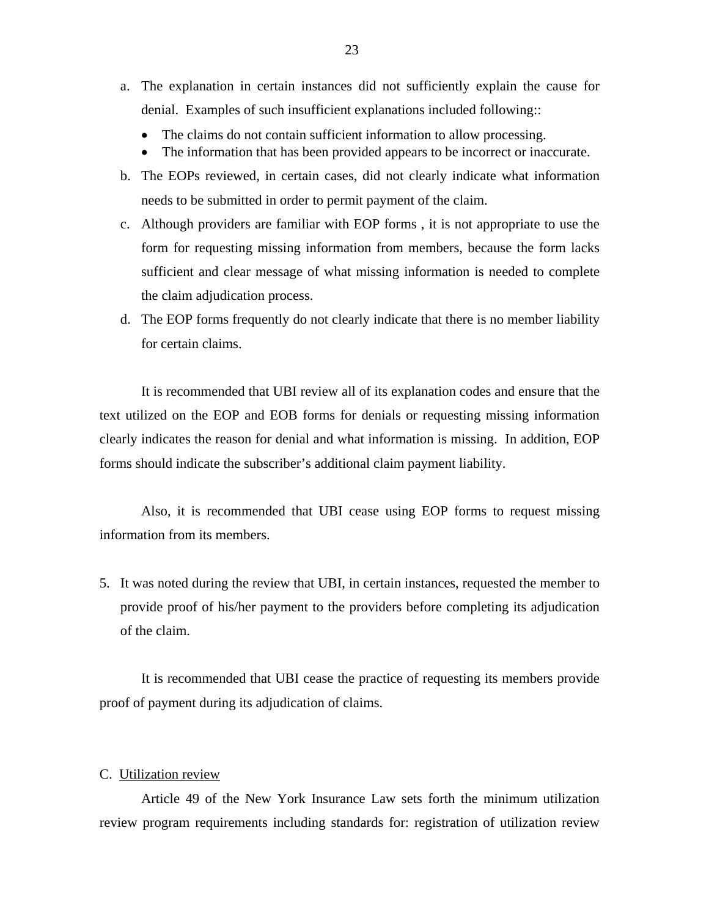- a. The explanation in certain instances did not sufficiently explain the cause for denial. Examples of such insufficient explanations included following::
	- The claims do not contain sufficient information to allow processing.
	- The information that has been provided appears to be incorrect or inaccurate.
- b. The EOPs reviewed, in certain cases, did not clearly indicate what information needs to be submitted in order to permit payment of the claim.
- c. Although providers are familiar with EOP forms , it is not appropriate to use the form for requesting missing information from members, because the form lacks sufficient and clear message of what missing information is needed to complete the claim adjudication process.
- d. The EOP forms frequently do not clearly indicate that there is no member liability for certain claims.

It is recommended that UBI review all of its explanation codes and ensure that the text utilized on the EOP and EOB forms for denials or requesting missing information clearly indicates the reason for denial and what information is missing. In addition, EOP forms should indicate the subscriber's additional claim payment liability.

Also, it is recommended that UBI cease using EOP forms to request missing information from its members.

5. It was noted during the review that UBI, in certain instances, requested the member to provide proof of his/her payment to the providers before completing its adjudication of the claim.

It is recommended that UBI cease the practice of requesting its members provide proof of payment during its adjudication of claims.

#### C. Utilization review

Article 49 of the New York Insurance Law sets forth the minimum utilization review program requirements including standards for: registration of utilization review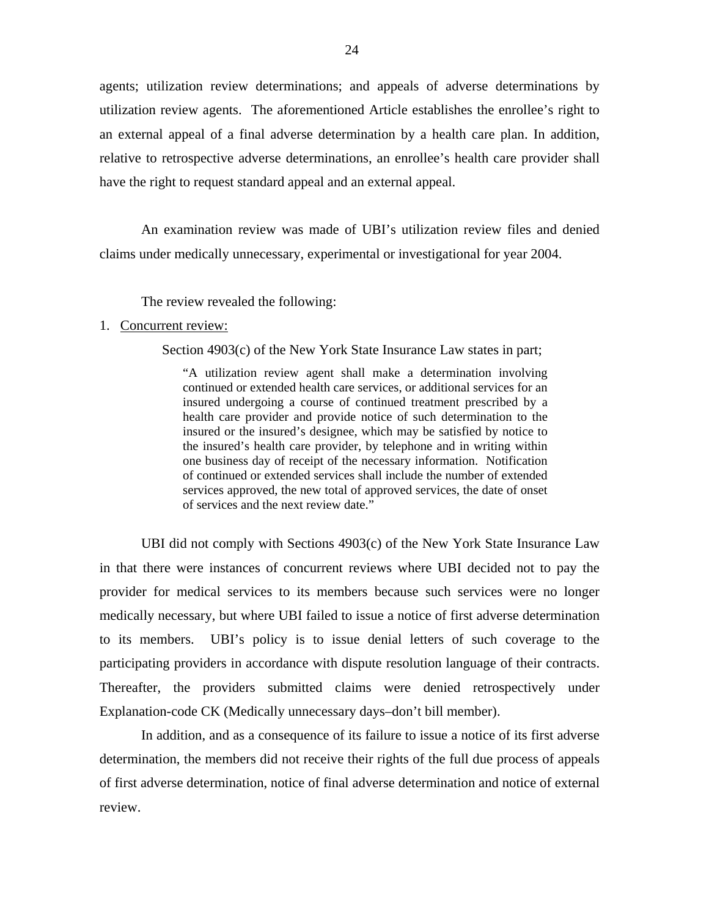agents; utilization review determinations; and appeals of adverse determinations by utilization review agents. The aforementioned Article establishes the enrollee's right to an external appeal of a final adverse determination by a health care plan. In addition, relative to retrospective adverse determinations, an enrollee's health care provider shall have the right to request standard appeal and an external appeal.

An examination review was made of UBI's utilization review files and denied claims under medically unnecessary, experimental or investigational for year 2004.

The review revealed the following:

#### 1. Concurrent review:

Section 4903(c) of the New York State Insurance Law states in part;

"A utilization review agent shall make a determination involving continued or extended health care services, or additional services for an insured undergoing a course of continued treatment prescribed by a health care provider and provide notice of such determination to the insured or the insured's designee, which may be satisfied by notice to the insured's health care provider, by telephone and in writing within one business day of receipt of the necessary information. Notification of continued or extended services shall include the number of extended services approved, the new total of approved services, the date of onset of services and the next review date."

 participating providers in accordance with dispute resolution language of their contracts. Thereafter, the providers submitted claims were denied retrospectively under UBI did not comply with Sections 4903(c) of the New York State Insurance Law in that there were instances of concurrent reviews where UBI decided not to pay the provider for medical services to its members because such services were no longer medically necessary, but where UBI failed to issue a notice of first adverse determination to its members. UBI's policy is to issue denial letters of such coverage to the Explanation-code CK (Medically unnecessary days–don't bill member).

In addition, and as a consequence of its failure to issue a notice of its first adverse determination, the members did not receive their rights of the full due process of appeals of first adverse determination, notice of final adverse determination and notice of external review.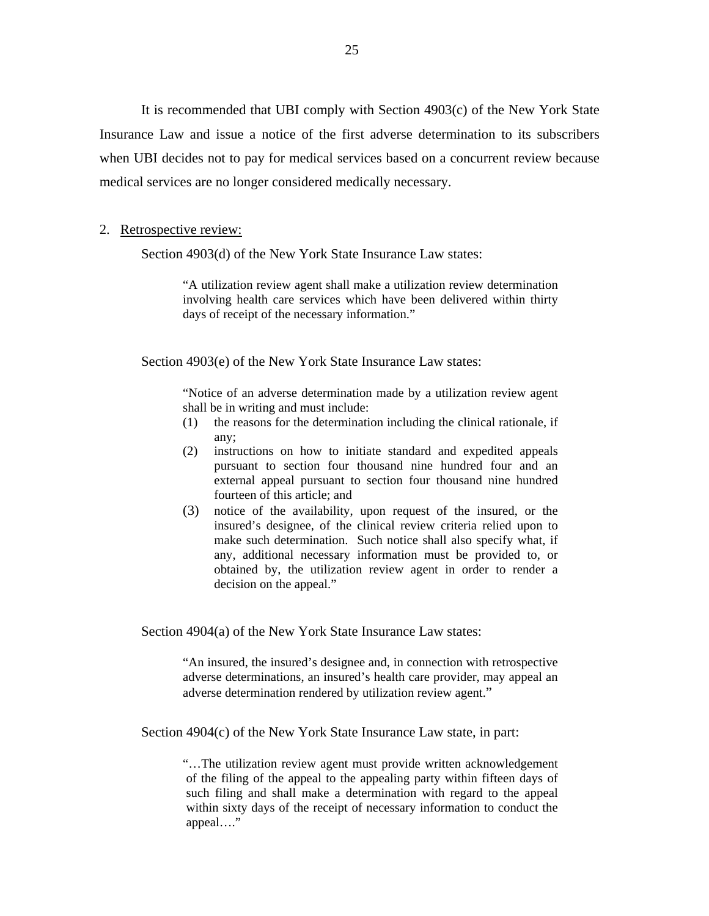It is recommended that UBI comply with Section 4903(c) of the New York State Insurance Law and issue a notice of the first adverse determination to its subscribers when UBI decides not to pay for medical services based on a concurrent review because medical services are no longer considered medically necessary.

#### 2. Retrospective review:

Section 4903(d) of the New York State Insurance Law states:

"A utilization review agent shall make a utilization review determination involving health care services which have been delivered within thirty days of receipt of the necessary information."

Section 4903(e) of the New York State Insurance Law states:

"Notice of an adverse determination made by a utilization review agent shall be in writing and must include:

- (1) the reasons for the determination including the clinical rationale, if any;
- (2) instructions on how to initiate standard and expedited appeals pursuant to section four thousand nine hundred four and an external appeal pursuant to section four thousand nine hundred fourteen of this article; and
- (3) notice of the availability, upon request of the insured, or the insured's designee, of the clinical review criteria relied upon to make such determination. Such notice shall also specify what, if any, additional necessary information must be provided to, or obtained by, the utilization review agent in order to render a decision on the appeal."

Section 4904(a) of the New York State Insurance Law states:

"An insured, the insured's designee and, in connection with retrospective adverse determinations, an insured's health care provider, may appeal an adverse determination rendered by utilization review agent."

Section 4904(c) of the New York State Insurance Law state, in part:

"…The utilization review agent must provide written acknowledgement of the filing of the appeal to the appealing party within fifteen days of such filing and shall make a determination with regard to the appeal within sixty days of the receipt of necessary information to conduct the appeal…."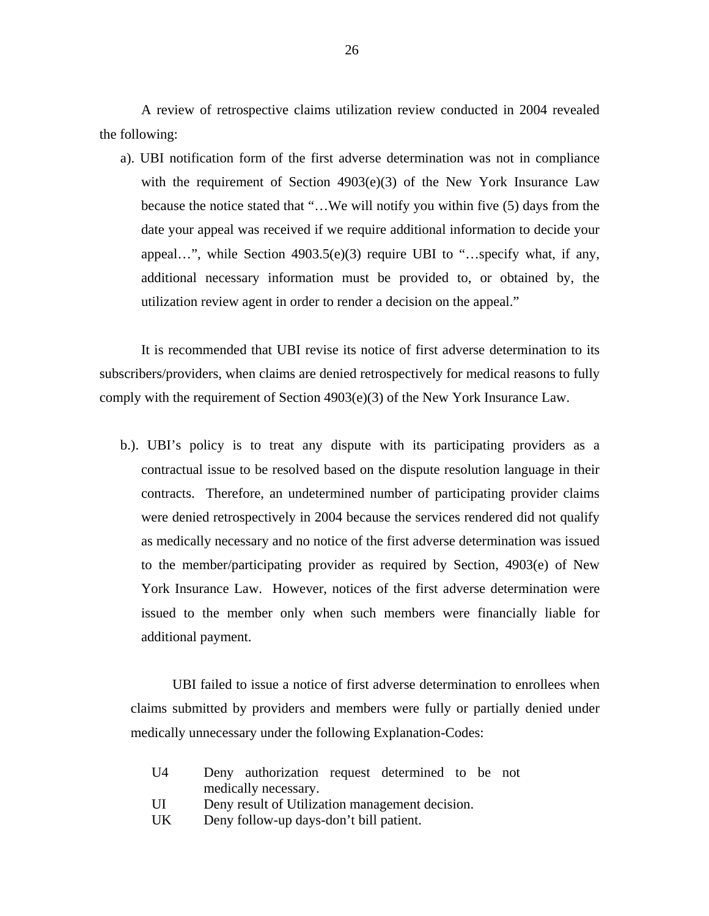A review of retrospective claims utilization review conducted in 2004 revealed the following:

a). UBI notification form of the first adverse determination was not in compliance with the requirement of Section 4903(e)(3) of the New York Insurance Law because the notice stated that "…We will notify you within five (5) days from the date your appeal was received if we require additional information to decide your appeal…", while Section 4903.5(e)(3) require UBI to "…specify what, if any, additional necessary information must be provided to, or obtained by, the utilization review agent in order to render a decision on the appeal."

It is recommended that UBI revise its notice of first adverse determination to its subscribers/providers, when claims are denied retrospectively for medical reasons to fully comply with the requirement of Section 4903(e)(3) of the New York Insurance Law.

b.). UBI's policy is to treat any dispute with its participating providers as a contractual issue to be resolved based on the dispute resolution language in their contracts. Therefore, an undetermined number of participating provider claims were denied retrospectively in 2004 because the services rendered did not qualify as medically necessary and no notice of the first adverse determination was issued to the member/participating provider as required by Section, 4903(e) of New York Insurance Law. However, notices of the first adverse determination were issued to the member only when such members were financially liable for additional payment.

UBI failed to issue a notice of first adverse determination to enrollees when claims submitted by providers and members were fully or partially denied under medically unnecessary under the following Explanation-Codes:

| U4 | Deny authorization request determined to be not |  |
|----|-------------------------------------------------|--|
|    | medically necessary.                            |  |
| UI | Deny result of Utilization management decision. |  |
| UK | Deny follow-up days-don't bill patient.         |  |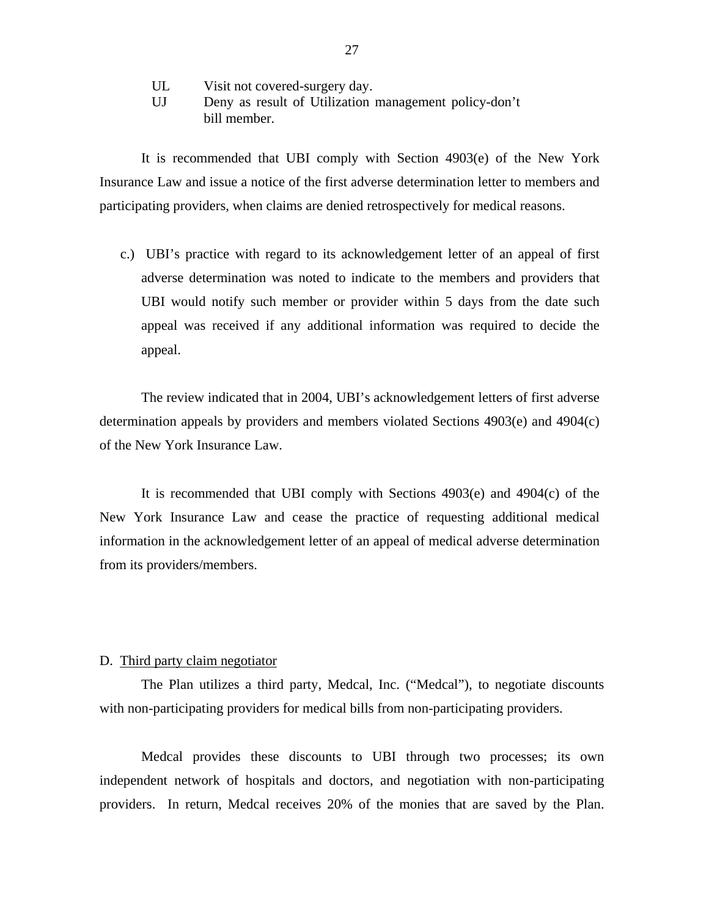- UL Visit not covered-surgery day.
- UJ Deny as result of Utilization management policy-don't bill member.

It is recommended that UBI comply with Section 4903(e) of the New York Insurance Law and issue a notice of the first adverse determination letter to members and participating providers, when claims are denied retrospectively for medical reasons.

c.) UBI's practice with regard to its acknowledgement letter of an appeal of first adverse determination was noted to indicate to the members and providers that UBI would notify such member or provider within 5 days from the date such appeal was received if any additional information was required to decide the appeal.

The review indicated that in 2004, UBI's acknowledgement letters of first adverse determination appeals by providers and members violated Sections 4903(e) and 4904(c) of the New York Insurance Law.

It is recommended that UBI comply with Sections 4903(e) and 4904(c) of the New York Insurance Law and cease the practice of requesting additional medical information in the acknowledgement letter of an appeal of medical adverse determination from its providers/members.

#### D. Third party claim negotiator

The Plan utilizes a third party, Medcal, Inc. ("Medcal"), to negotiate discounts with non-participating providers for medical bills from non-participating providers.

Medcal provides these discounts to UBI through two processes; its own independent network of hospitals and doctors, and negotiation with non-participating providers. In return, Medcal receives 20% of the monies that are saved by the Plan.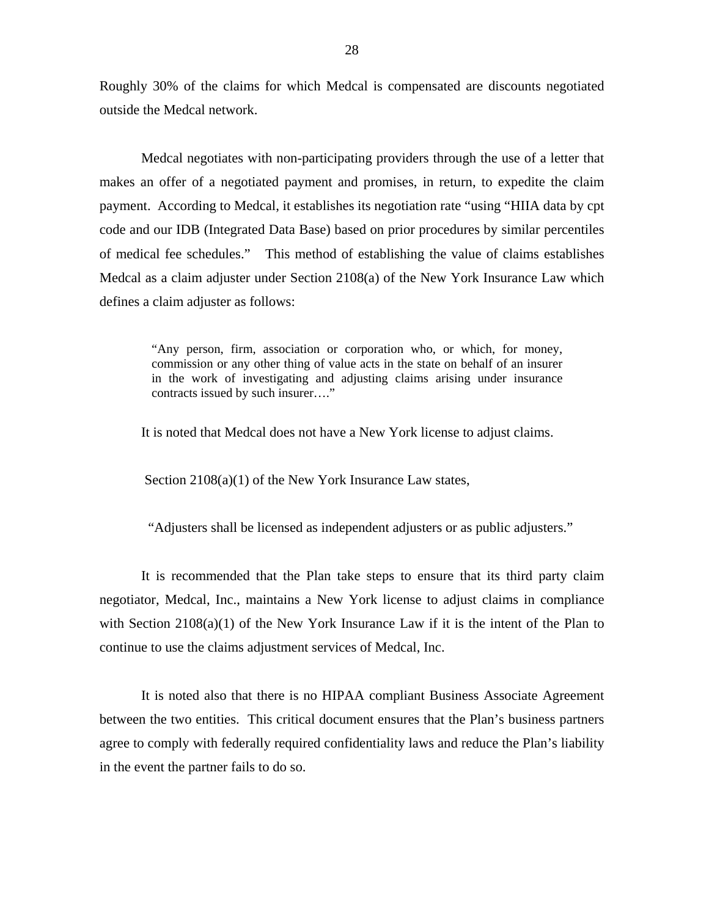Roughly 30% of the claims for which Medcal is compensated are discounts negotiated outside the Medcal network.

Medcal negotiates with non-participating providers through the use of a letter that makes an offer of a negotiated payment and promises, in return, to expedite the claim payment. According to Medcal, it establishes its negotiation rate "using "HIIA data by cpt code and our IDB (Integrated Data Base) based on prior procedures by similar percentiles of medical fee schedules." This method of establishing the value of claims establishes Medcal as a claim adjuster under Section 2108(a) of the New York Insurance Law which defines a claim adjuster as follows:

> "Any person, firm, association or corporation who, or which, for money, commission or any other thing of value acts in the state on behalf of an insurer in the work of investigating and adjusting claims arising under insurance contracts issued by such insurer…."

It is noted that Medcal does not have a New York license to adjust claims.

Section  $2108(a)(1)$  of the New York Insurance Law states,

"Adjusters shall be licensed as independent adjusters or as public adjusters."

It is recommended that the Plan take steps to ensure that its third party claim negotiator, Medcal, Inc., maintains a New York license to adjust claims in compliance with Section 2108(a)(1) of the New York Insurance Law if it is the intent of the Plan to continue to use the claims adjustment services of Medcal, Inc.

 in the event the partner fails to do so. It is noted also that there is no HIPAA compliant Business Associate Agreement between the two entities. This critical document ensures that the Plan's business partners agree to comply with federally required confidentiality laws and reduce the Plan's liability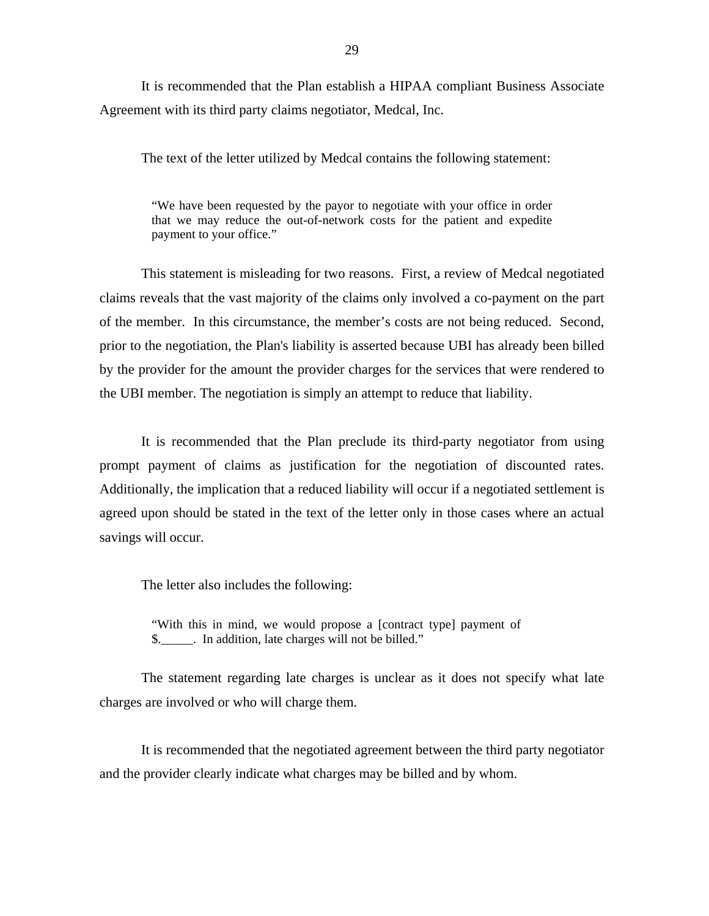It is recommended that the Plan establish a HIPAA compliant Business Associate Agreement with its third party claims negotiator, Medcal, Inc.

The text of the letter utilized by Medcal contains the following statement:

"We have been requested by the payor to negotiate with your office in order that we may reduce the out-of-network costs for the patient and expedite payment to your office."

This statement is misleading for two reasons. First, a review of Medcal negotiated claims reveals that the vast majority of the claims only involved a co-payment on the part of the member. In this circumstance, the member's costs are not being reduced. Second, prior to the negotiation, the Plan's liability is asserted because UBI has already been billed by the provider for the amount the provider charges for the services that were rendered to the UBI member. The negotiation is simply an attempt to reduce that liability.

It is recommended that the Plan preclude its third-party negotiator from using prompt payment of claims as justification for the negotiation of discounted rates. Additionally, the implication that a reduced liability will occur if a negotiated settlement is agreed upon should be stated in the text of the letter only in those cases where an actual savings will occur.

The letter also includes the following:

"With this in mind, we would propose a [contract type] payment of \$. In addition, late charges will not be billed."

The statement regarding late charges is unclear as it does not specify what late charges are involved or who will charge them.

It is recommended that the negotiated agreement between the third party negotiator and the provider clearly indicate what charges may be billed and by whom.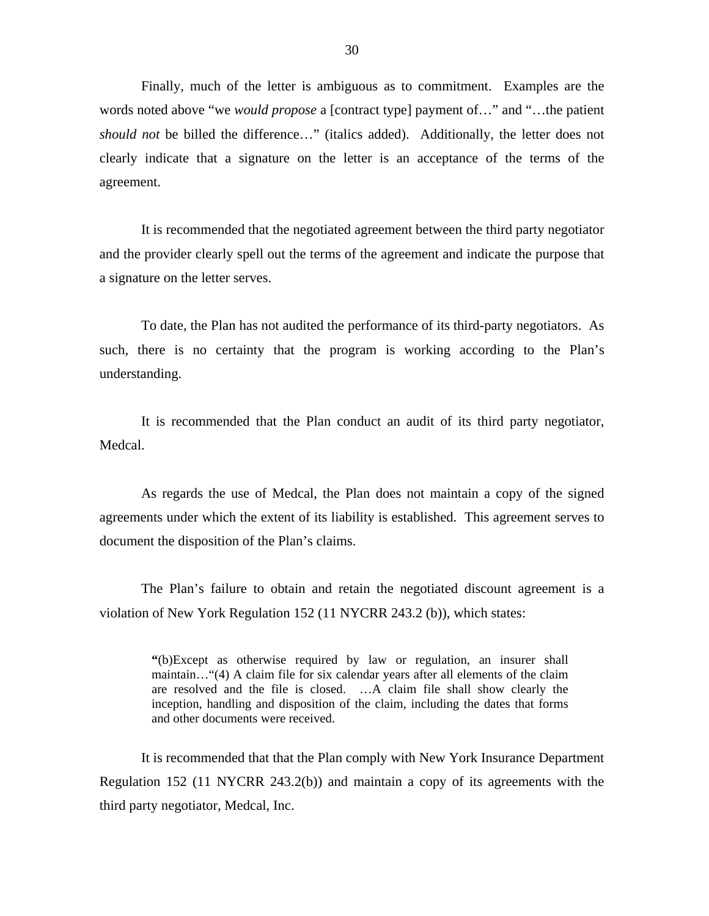Finally, much of the letter is ambiguous as to commitment. Examples are the words noted above "we *would propose* a [contract type] payment of…" and "…the patient *should not* be billed the difference…" (italics added). Additionally, the letter does not clearly indicate that a signature on the letter is an acceptance of the terms of the agreement.

It is recommended that the negotiated agreement between the third party negotiator and the provider clearly spell out the terms of the agreement and indicate the purpose that a signature on the letter serves.

To date, the Plan has not audited the performance of its third-party negotiators. As such, there is no certainty that the program is working according to the Plan's understanding.

It is recommended that the Plan conduct an audit of its third party negotiator, Medcal.

As regards the use of Medcal, the Plan does not maintain a copy of the signed agreements under which the extent of its liability is established. This agreement serves to document the disposition of the Plan's claims.

The Plan's failure to obtain and retain the negotiated discount agreement is a violation of New York Regulation 152 (11 NYCRR 243.2 (b)), which states:

> **"**(b)Except as otherwise required by law or regulation, an insurer shall maintain…"(4) A claim file for six calendar years after all elements of the claim are resolved and the file is closed. …A claim file shall show clearly the inception, handling and disposition of the claim, including the dates that forms and other documents were received.

It is recommended that that the Plan comply with New York Insurance Department Regulation 152 (11 NYCRR 243.2(b)) and maintain a copy of its agreements with the third party negotiator, Medcal, Inc.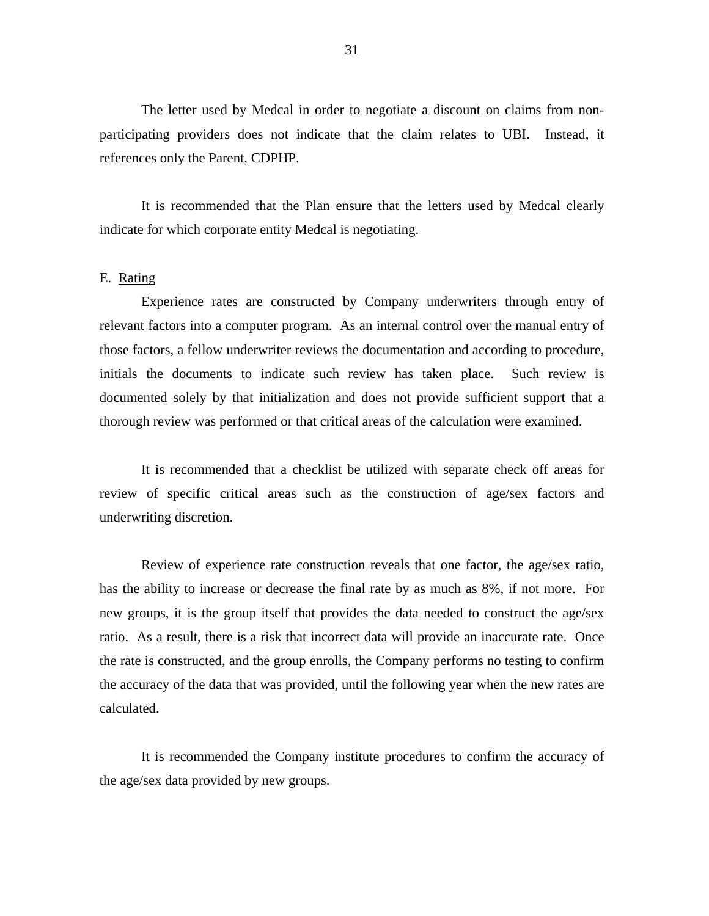The letter used by Medcal in order to negotiate a discount on claims from nonparticipating providers does not indicate that the claim relates to UBI. Instead, it references only the Parent, CDPHP.

It is recommended that the Plan ensure that the letters used by Medcal clearly indicate for which corporate entity Medcal is negotiating.

#### E. Rating

thorough review was performed or that critical areas of the calculation were examined.<br>It is recommended that a checklist be utilized with separate check off areas for Experience rates are constructed by Company underwriters through entry of relevant factors into a computer program. As an internal control over the manual entry of those factors, a fellow underwriter reviews the documentation and according to procedure, initials the documents to indicate such review has taken place. Such review is documented solely by that initialization and does not provide sufficient support that a

review of specific critical areas such as the construction of age/sex factors and underwriting discretion.

Review of experience rate construction reveals that one factor, the age/sex ratio, has the ability to increase or decrease the final rate by as much as 8%, if not more. For new groups, it is the group itself that provides the data needed to construct the age/sex ratio. As a result, there is a risk that incorrect data will provide an inaccurate rate. Once the rate is constructed, and the group enrolls, the Company performs no testing to confirm the accuracy of the data that was provided, until the following year when the new rates are calculated.

It is recommended the Company institute procedures to confirm the accuracy of the age/sex data provided by new groups.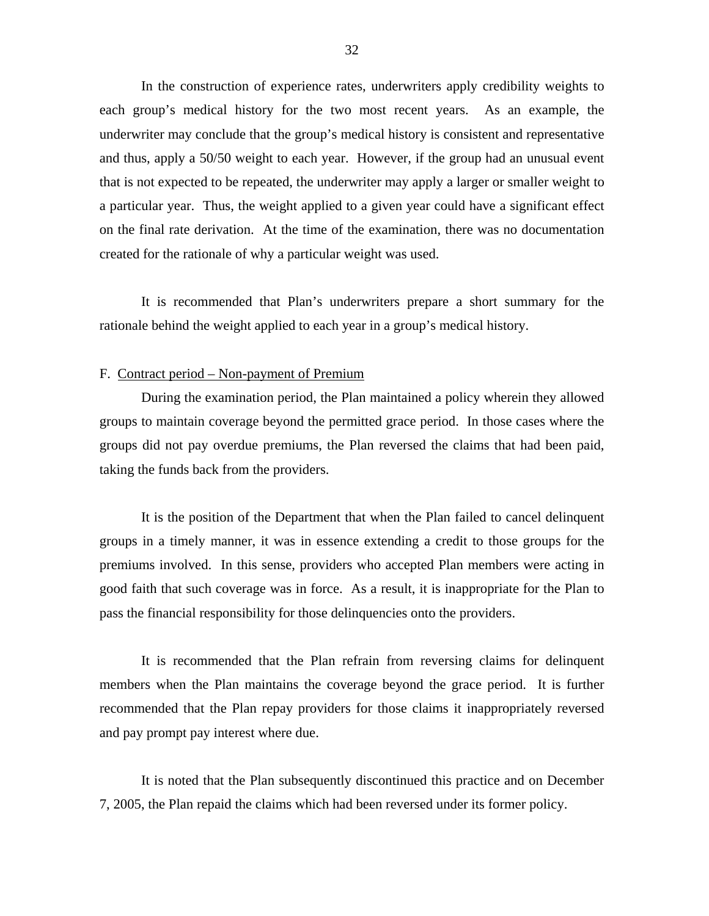In the construction of experience rates, underwriters apply credibility weights to each group's medical history for the two most recent years. As an example, the underwriter may conclude that the group's medical history is consistent and representative and thus, apply a 50/50 weight to each year. However, if the group had an unusual event that is not expected to be repeated, the underwriter may apply a larger or smaller weight to a particular year. Thus, the weight applied to a given year could have a significant effect on the final rate derivation. At the time of the examination, there was no documentation created for the rationale of why a particular weight was used.

It is recommended that Plan's underwriters prepare a short summary for the rationale behind the weight applied to each year in a group's medical history.

#### F. Contract period – Non-payment of Premium

During the examination period, the Plan maintained a policy wherein they allowed groups to maintain coverage beyond the permitted grace period. In those cases where the groups did not pay overdue premiums, the Plan reversed the claims that had been paid, taking the funds back from the providers.

It is the position of the Department that when the Plan failed to cancel delinquent groups in a timely manner, it was in essence extending a credit to those groups for the premiums involved. In this sense, providers who accepted Plan members were acting in good faith that such coverage was in force. As a result, it is inappropriate for the Plan to pass the financial responsibility for those delinquencies onto the providers.

It is recommended that the Plan refrain from reversing claims for delinquent members when the Plan maintains the coverage beyond the grace period. It is further recommended that the Plan repay providers for those claims it inappropriately reversed and pay prompt pay interest where due.

It is noted that the Plan subsequently discontinued this practice and on December 7, 2005, the Plan repaid the claims which had been reversed under its former policy.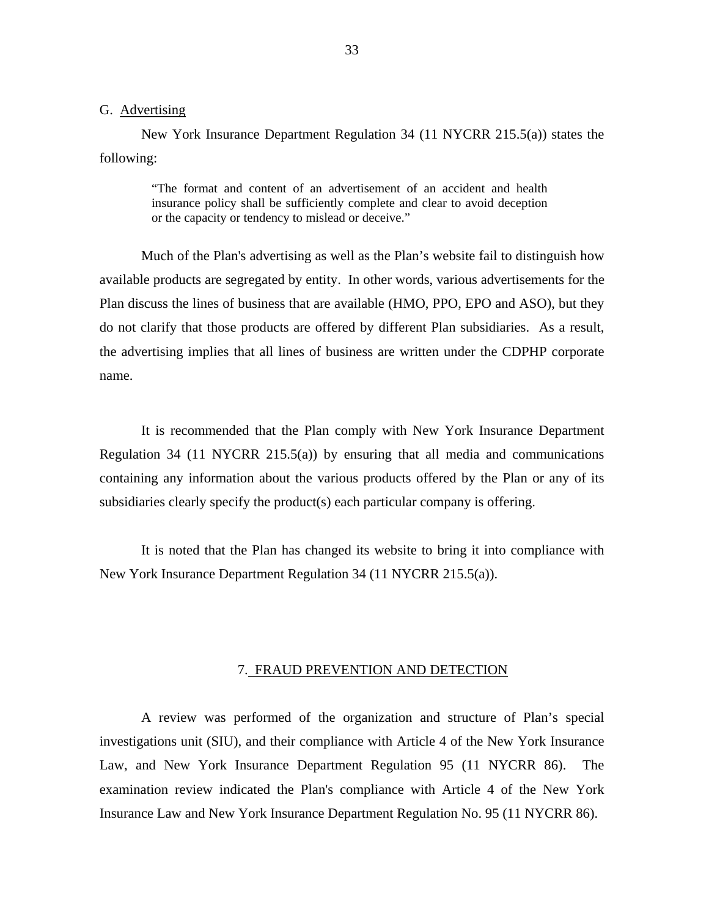#### <span id="page-34-0"></span>G. Advertising

New York Insurance Department Regulation 34 (11 NYCRR 215.5(a)) states the following:

> "The format and content of an advertisement of an accident and health insurance policy shall be sufficiently complete and clear to avoid deception or the capacity or tendency to mislead or deceive."

Much of the Plan's advertising as well as the Plan's website fail to distinguish how available products are segregated by entity. In other words, various advertisements for the Plan discuss the lines of business that are available (HMO, PPO, EPO and ASO), but they do not clarify that those products are offered by different Plan subsidiaries. As a result, the advertising implies that all lines of business are written under the CDPHP corporate name.

It is recommended that the Plan comply with New York Insurance Department Regulation 34 (11 NYCRR 215.5(a)) by ensuring that all media and communications containing any information about the various products offered by the Plan or any of its subsidiaries clearly specify the product(s) each particular company is offering.

It is noted that the Plan has changed its website to bring it into compliance with New York Insurance Department Regulation 34 (11 NYCRR 215.5(a)).

#### 7. FRAUD PREVENTION AND DETECTION

A review was performed of the organization and structure of Plan's special investigations unit (SIU), and their compliance with Article 4 of the New York Insurance Law, and New York Insurance Department Regulation 95 (11 NYCRR 86). The examination review indicated the Plan's compliance with Article 4 of the New York Insurance Law and New York Insurance Department Regulation No. 95 (11 NYCRR 86).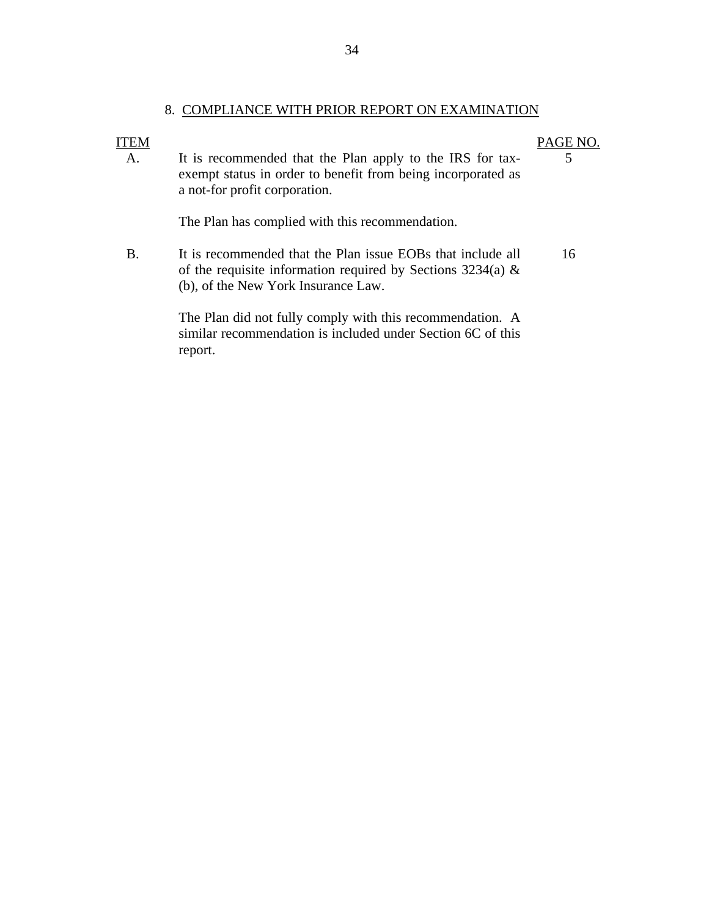### 8. COMPLIANCE WITH PRIOR REPORT ON EXAMINATION

#### **ITEM** A. It is recommended that the Plan apply to the IRS for taxexempt status in order to benefit from being incorporated as a not-for profit corporation. PAGE NO. 5 The Plan has complied with this recommendation. B. It is recommended that the Plan issue EOBs that include all of the requisite information required by Sections  $3234(a)$  & 16

The Plan did not fully comply with this recommendation. A similar recommendation is included under Section 6C of this report.

(b), of the New York Insurance Law.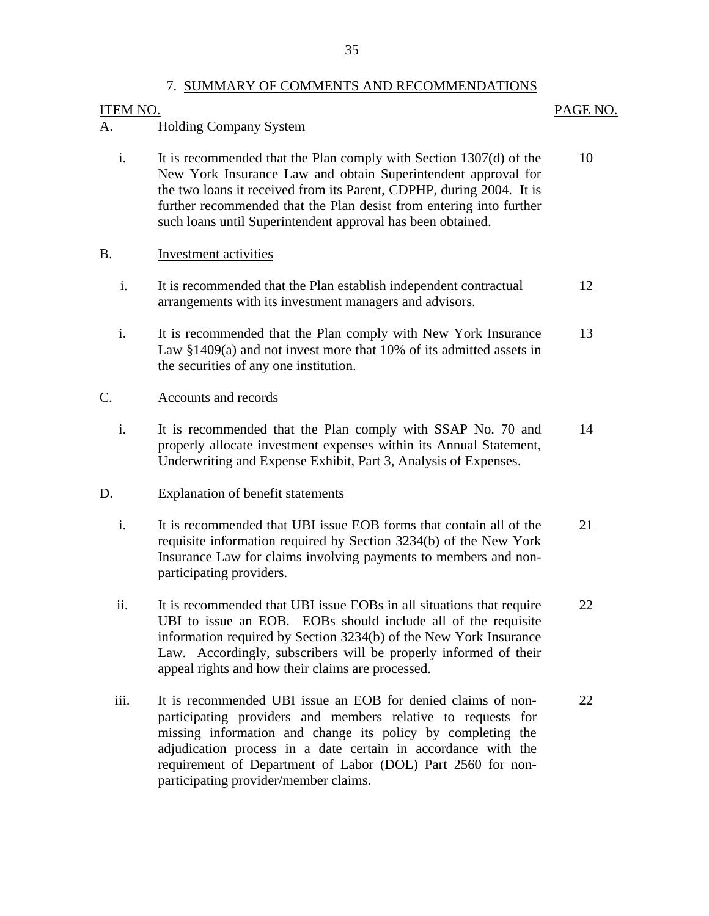#### 7. SUMMARY OF COMMENTS AND RECOMMENDATIONS

#### **ITEM NO.**

## PAGE NO.

## **Holding Company System**

A. Holding Company System<br>i. It is recommended that the Plan comply with Section 1307(d) of the New York Insurance Law and obtain Superintendent approval for the two loans it received from its Parent, CDPHP, during 2004. It is further recommended that the Plan desist from entering into further such loans until Superintendent approval has been obtained. 10

## B. **Investment activities**

- i. It is recommended that the Plan establish independent contractual arrangements with its investment managers and advisors. 12
- i. It is recommended that the Plan comply with New York Insurance Law §1409(a) and not invest more that 10% of its admitted assets in the securities of any one institution. 13

## Accounts and records

C. Accounts and records<br>i. It is recommended that the Plan comply with SSAP No. 70 and properly allocate investment expenses within its Annual Statement, Underwriting and Expense Exhibit, Part 3, Analysis of Expenses. 14

## **Explanation of benefit statements**

- D. Explanation of benefit statements<br>i. It is recommended that UBI issue EOB forms that contain all of the requisite information required by Section 3234(b) of the New York Insurance Law for claims involving payments to members and nonparticipating providers. 21
	- ii. It is recommended that UBI issue EOBs in all situations that require UBI to issue an EOB. EOBs should include all of the requisite information required by Section 3234(b) of the New York Insurance Law. Accordingly, subscribers will be properly informed of their appeal rights and how their claims are processed. 22
	- iii. It is recommended UBI issue an EOB for denied claims of nonparticipating providers and members relative to requests for missing information and change its policy by completing the adjudication process in a date certain in accordance with the requirement of Department of Labor (DOL) Part 2560 for nonparticipating provider/member claims. 22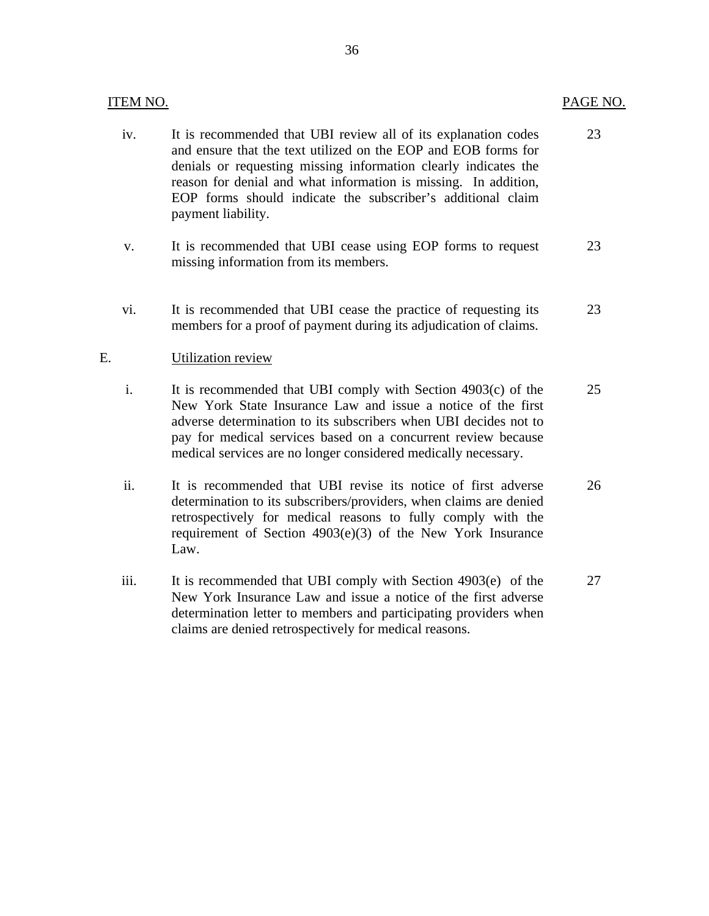| <b>ITEM NO.</b> |                                                                                                                                                                                                                                                                                                                                                             | PAGE NO. |
|-----------------|-------------------------------------------------------------------------------------------------------------------------------------------------------------------------------------------------------------------------------------------------------------------------------------------------------------------------------------------------------------|----------|
| iv.             | It is recommended that UBI review all of its explanation codes<br>and ensure that the text utilized on the EOP and EOB forms for<br>denials or requesting missing information clearly indicates the<br>reason for denial and what information is missing. In addition,<br>EOP forms should indicate the subscriber's additional claim<br>payment liability. | 23       |
| V.              | It is recommended that UBI cease using EOP forms to request<br>missing information from its members.                                                                                                                                                                                                                                                        | 23       |
| vi.             | It is recommended that UBI cease the practice of requesting its<br>members for a proof of payment during its adjudication of claims.                                                                                                                                                                                                                        | 23       |
| E.              | Utilization review                                                                                                                                                                                                                                                                                                                                          |          |
| i.              | It is recommended that UBI comply with Section 4903(c) of the<br>New York State Insurance Law and issue a notice of the first<br>adverse determination to its subscribers when UBI decides not to<br>pay for medical services based on a concurrent review because<br>medical services are no longer considered medically necessary.                        | 25       |
| ii.             | It is recommended that UBI revise its notice of first adverse<br>determination to its subscribers/providers, when claims are denied<br>retrospectively for medical reasons to fully comply with the<br>requirement of Section $4903(e)(3)$ of the New York Insurance<br>Law.                                                                                | 26       |
| iii.            | It is recommended that UBI comply with Section 4903(e) of the<br>New York Insurance Law and issue a notice of the first adverse                                                                                                                                                                                                                             | 27       |

determination letter to members and participating providers when

claims are denied retrospectively for medical reasons.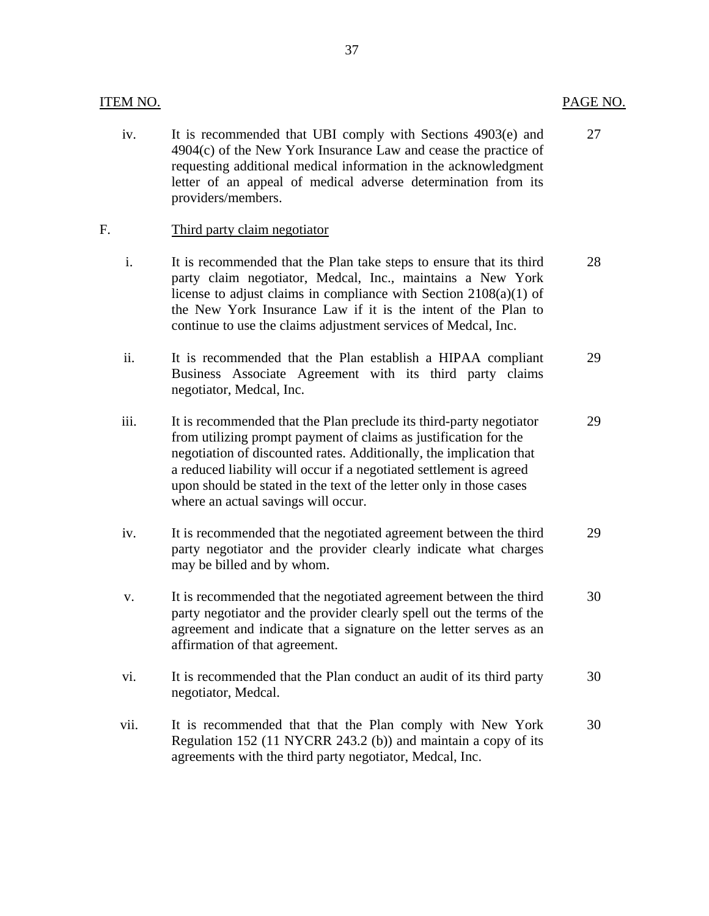#### **ITEM NO.**

iv. It is recommended that UBI comply with Sections 4903(e) and 4904(c) of the New York Insurance Law and cease the practice of requesting additional medical information in the acknowledgment letter of an appeal of medical adverse determination from its providers/members. 27

#### Third party claim negotiator

- F. Third party claim negotiator<br>i. It is recommended that the Plan take steps to ensure that its third party claim negotiator, Medcal, Inc., maintains a New York license to adjust claims in compliance with Section 2108(a)(1) of the New York Insurance Law if it is the intent of the Plan to continue to use the claims adjustment services of Medcal, Inc. 28
	- ii. It is recommended that the Plan establish a HIPAA compliant Business Associate Agreement with its third party claims negotiator, Medcal, Inc. 29
	- iii. It is recommended that the Plan preclude its third-party negotiator from utilizing prompt payment of claims as justification for the negotiation of discounted rates. Additionally, the implication that a reduced liability will occur if a negotiated settlement is agreed upon should be stated in the text of the letter only in those cases where an actual savings will occur.
	- iv. It is recommended that the negotiated agreement between the third party negotiator and the provider clearly indicate what charges may be billed and by whom. 29
	- v. It is recommended that the negotiated agreement between the third party negotiator and the provider clearly spell out the terms of the agreement and indicate that a signature on the letter serves as an affirmation of that agreement. 30
	- vi. It is recommended that the Plan conduct an audit of its third party negotiator, Medcal. 30
	- vii. It is recommended that that the Plan comply with New York Regulation 152 (11 NYCRR 243.2 (b)) and maintain a copy of its agreements with the third party negotiator, Medcal, Inc. 30

29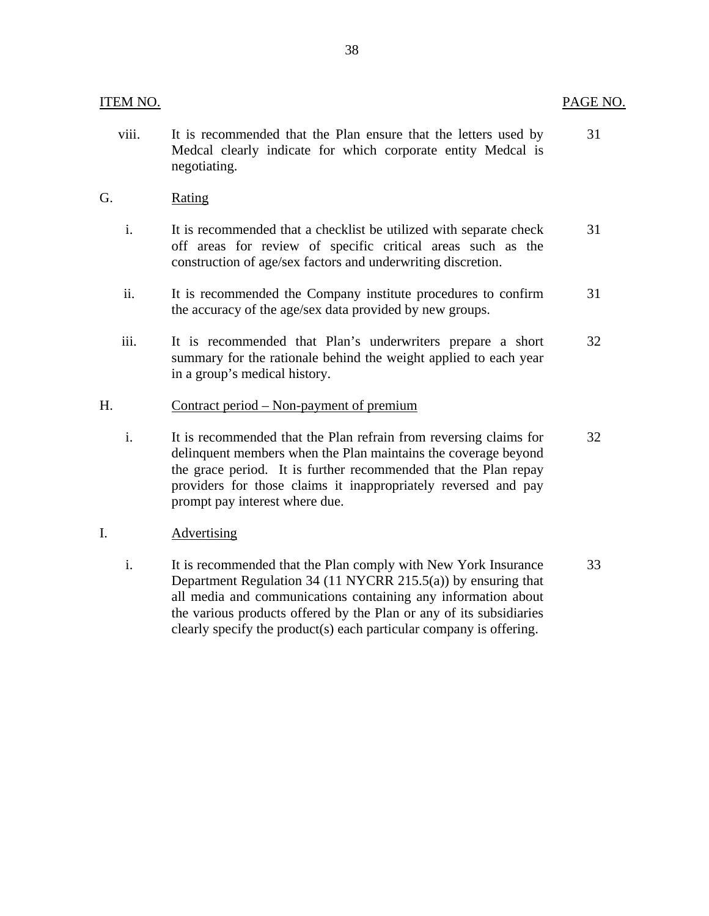| ITEM NO.       |                                                                                                                                                                                                                                                                                                            | PAGE NO. |
|----------------|------------------------------------------------------------------------------------------------------------------------------------------------------------------------------------------------------------------------------------------------------------------------------------------------------------|----------|
| viii.          | It is recommended that the Plan ensure that the letters used by<br>Medcal clearly indicate for which corporate entity Medcal is<br>negotiating.                                                                                                                                                            | 31       |
| G.             | <b>Rating</b>                                                                                                                                                                                                                                                                                              |          |
| $\mathbf{i}$ . | It is recommended that a checklist be utilized with separate check<br>off areas for review of specific critical areas such as the<br>construction of age/sex factors and underwriting discretion.                                                                                                          | 31       |
| ii.            | It is recommended the Company institute procedures to confirm<br>the accuracy of the age/sex data provided by new groups.                                                                                                                                                                                  | 31       |
| iii.           | It is recommended that Plan's underwriters prepare a short<br>summary for the rationale behind the weight applied to each year<br>in a group's medical history.                                                                                                                                            | 32       |
| Н.             | Contract period – Non-payment of premium                                                                                                                                                                                                                                                                   |          |
| i.             | It is recommended that the Plan refrain from reversing claims for<br>delinquent members when the Plan maintains the coverage beyond<br>the grace period. It is further recommended that the Plan repay<br>providers for those claims it inappropriately reversed and pay<br>prompt pay interest where due. | 32       |
| I.             | <b>Advertising</b>                                                                                                                                                                                                                                                                                         |          |
| i.             | It is recommended that the Plan comply with New York Insurance<br>Department Regulation 34 (11 NYCRR 215.5(a)) by ensuring that<br>all media and communications containing any information about<br>the various products offered by the Plan or any of its subsidiaries                                    | 33       |

clearly specify the product(s) each particular company is offering.